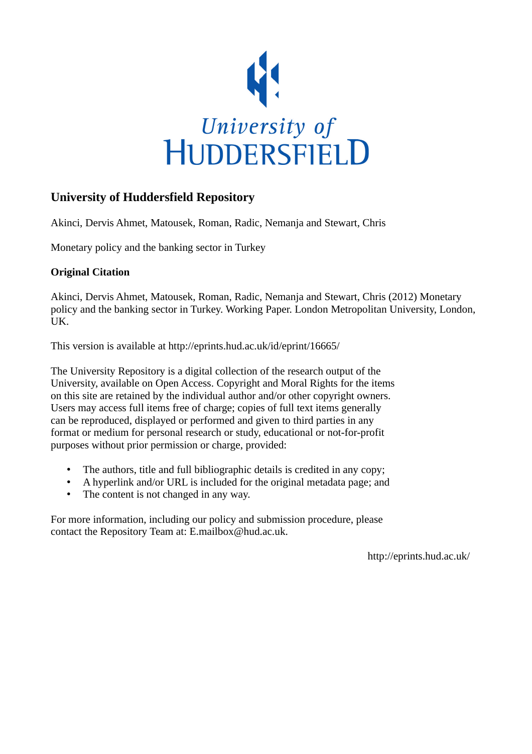

# **University of Huddersfield Repository**

Akinci, Dervis Ahmet, Matousek, Roman, Radic, Nemanja and Stewart, Chris

Monetary policy and the banking sector in Turkey

# **Original Citation**

Akinci, Dervis Ahmet, Matousek, Roman, Radic, Nemanja and Stewart, Chris (2012) Monetary policy and the banking sector in Turkey. Working Paper. London Metropolitan University, London, UK.

This version is available at http://eprints.hud.ac.uk/id/eprint/16665/

The University Repository is a digital collection of the research output of the University, available on Open Access. Copyright and Moral Rights for the items on this site are retained by the individual author and/or other copyright owners. Users may access full items free of charge; copies of full text items generally can be reproduced, displayed or performed and given to third parties in any format or medium for personal research or study, educational or not-for-profit purposes without prior permission or charge, provided:

- The authors, title and full bibliographic details is credited in any copy;
- A hyperlink and/or URL is included for the original metadata page; and
- The content is not changed in any way.

For more information, including our policy and submission procedure, please contact the Repository Team at: E.mailbox@hud.ac.uk.

http://eprints.hud.ac.uk/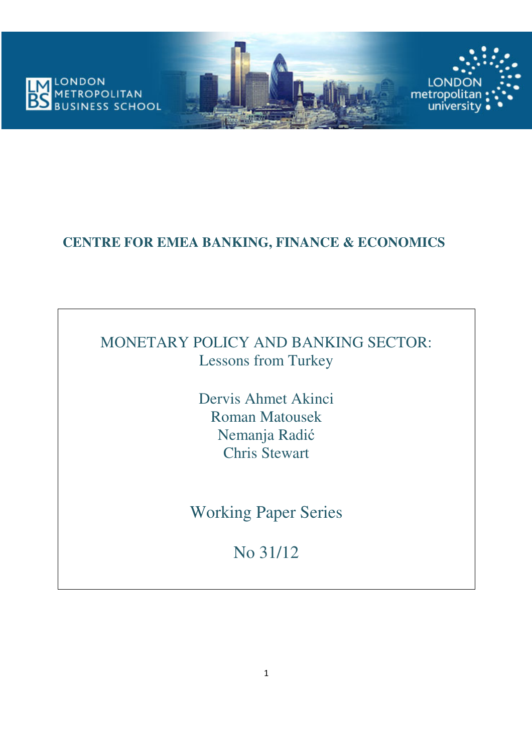

# **CENTRE FOR EMEA BANKING, FINANCE & ECONOMICS**

# MONETARY POLICY AND BANKING SECTOR: Lessons from Turkey

Dervis Ahmet Akinci Roman Matousek Nemanja Radić Chris Stewart

Working Paper Series

No 31/12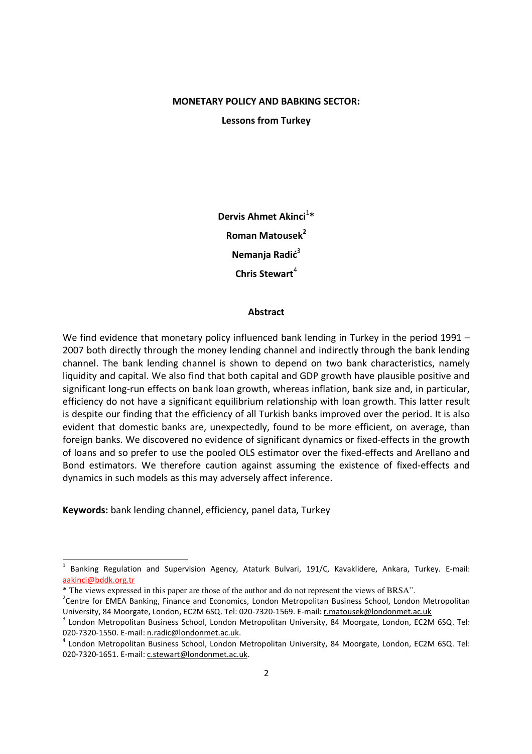## MONETARY POLICY AND BABKING SECTOR:

Lessons from Turkey

Dervis Ahmet Akinci<sup>1</sup>\* Roman Matousek<sup>2</sup> Nemania Radić $3$ Chris Stewart $4$ 

#### **Abstract**

We find evidence that monetary policy influenced bank lending in Turkey in the period 1991 – 2007 both directly through the money lending channel and indirectly through the bank lending channel. The bank lending channel is shown to depend on two bank characteristics, namely liquidity and capital. We also find that both capital and GDP growth have plausible positive and significant long-run effects on bank loan growth, whereas inflation, bank size and, in particular, efficiency do not have a significant equilibrium relationship with loan growth. This latter result is despite our finding that the efficiency of all Turkish banks improved over the period. It is also evident that domestic banks are, unexpectedly, found to be more efficient, on average, than foreign banks. We discovered no evidence of significant dynamics or fixed-effects in the growth of loans and so prefer to use the pooled OLS estimator over the fixed-effects and Arellano and Bond estimators. We therefore caution against assuming the existence of fixed-effects and dynamics in such models as this may adversely affect inference.

Keywords: bank lending channel, efficiency, panel data, Turkey

<sup>1</sup> Banking Regulation and Supervision Agency, Ataturk Bulvari, 191/C, Kavaklidere, Ankara, Turkey. E-mail: aakinci@bddk.org.tr

<sup>\*</sup> The views expressed in this paper are those of the author and do not represent the views of BRSA".

<sup>&</sup>lt;sup>2</sup> Centre for EMEA Banking, Finance and Economics, London Metropolitan Business School, London Metropolitan University, 84 Moorgate, London, EC2M 6SQ. Tel: 020-7320-1569. E-mail: r.matousek@londonmet.ac.uk

<sup>&</sup>lt;sup>3</sup> London Metropolitan Business School, London Metropolitan University, 84 Moorgate, London, EC2M 6SQ. Tel: 020-7320-1550. E-mail: n.radic@londonmet.ac.uk.

<sup>&</sup>lt;sup>4</sup> London Metropolitan Business School, London Metropolitan University, 84 Moorgate, London, EC2M 6SQ. Tel: 020-7320-1651. E-mail: c.stewart@londonmet.ac.uk.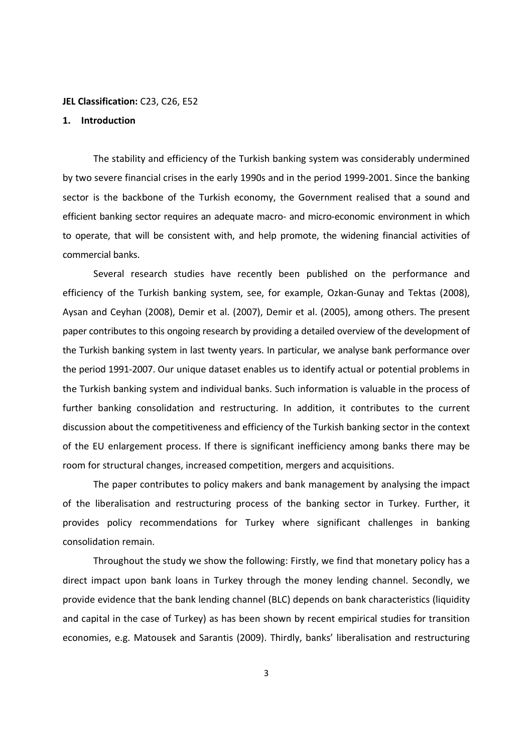#### JEL Classification: C23, C26, E52

## 1. Introduction

The stability and efficiency of the Turkish banking system was considerably undermined by two severe financial crises in the early 1990s and in the period 1999-2001. Since the banking sector is the backbone of the Turkish economy, the Government realised that a sound and efficient banking sector requires an adequate macro- and micro-economic environment in which to operate, that will be consistent with, and help promote, the widening financial activities of commercial banks.

Several research studies have recently been published on the performance and efficiency of the Turkish banking system, see, for example, Ozkan-Gunay and Tektas (2008), Aysan and Ceyhan (2008), Demir et al. (2007), Demir et al. (2005), among others. The present paper contributes to this ongoing research by providing a detailed overview of the development of the Turkish banking system in last twenty years. In particular, we analyse bank performance over the period 1991-2007. Our unique dataset enables us to identify actual or potential problems in the Turkish banking system and individual banks. Such information is valuable in the process of further banking consolidation and restructuring. In addition, it contributes to the current discussion about the competitiveness and efficiency of the Turkish banking sector in the context of the EU enlargement process. If there is significant inefficiency among banks there may be room for structural changes, increased competition, mergers and acquisitions.

The paper contributes to policy makers and bank management by analysing the impact of the liberalisation and restructuring process of the banking sector in Turkey. Further, it provides policy recommendations for Turkey where significant challenges in banking consolidation remain.

Throughout the study we show the following: Firstly, we find that monetary policy has a direct impact upon bank loans in Turkey through the money lending channel. Secondly, we provide evidence that the bank lending channel (BLC) depends on bank characteristics (liquidity and capital in the case of Turkey) as has been shown by recent empirical studies for transition economies, e.g. Matousek and Sarantis (2009). Thirdly, banks' liberalisation and restructuring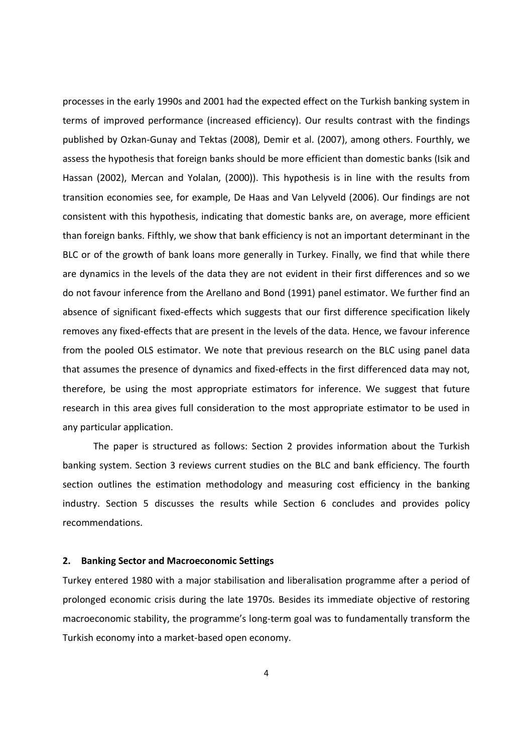processes in the early 1990s and 2001 had the expected effect on the Turkish banking system in terms of improved performance (increased efficiency). Our results contrast with the findings published by Ozkan-Gunay and Tektas (2008), Demir et al. (2007), among others. Fourthly, we assess the hypothesis that foreign banks should be more efficient than domestic banks (Isik and Hassan (2002), Mercan and Yolalan, (2000)). This hypothesis is in line with the results from transition economies see, for example, De Haas and Van Lelyveld (2006). Our findings are not consistent with this hypothesis, indicating that domestic banks are, on average, more efficient than foreign banks. Fifthly, we show that bank efficiency is not an important determinant in the BLC or of the growth of bank loans more generally in Turkey. Finally, we find that while there are dynamics in the levels of the data they are not evident in their first differences and so we do not favour inference from the Arellano and Bond (1991) panel estimator. We further find an absence of significant fixed-effects which suggests that our first difference specification likely removes any fixed-effects that are present in the levels of the data. Hence, we favour inference from the pooled OLS estimator. We note that previous research on the BLC using panel data that assumes the presence of dynamics and fixed-effects in the first differenced data may not, therefore, be using the most appropriate estimators for inference. We suggest that future research in this area gives full consideration to the most appropriate estimator to be used in any particular application.

The paper is structured as follows: Section 2 provides information about the Turkish banking system. Section 3 reviews current studies on the BLC and bank efficiency. The fourth section outlines the estimation methodology and measuring cost efficiency in the banking industry. Section 5 discusses the results while Section 6 concludes and provides policy recommendations.

#### 2. Banking Sector and Macroeconomic Settings

Turkey entered 1980 with a major stabilisation and liberalisation programme after a period of prolonged economic crisis during the late 1970s. Besides its immediate objective of restoring macroeconomic stability, the programme's long-term goal was to fundamentally transform the Turkish economy into a market-based open economy.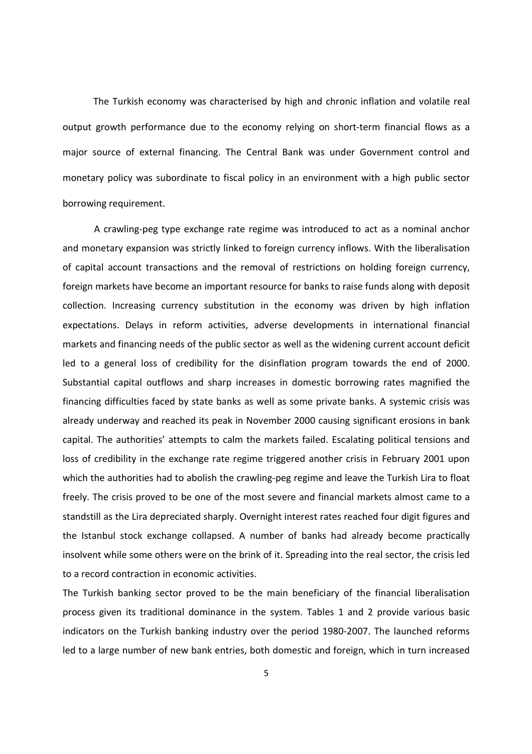The Turkish economy was characterised by high and chronic inflation and volatile real output growth performance due to the economy relying on short-term financial flows as a major source of external financing. The Central Bank was under Government control and monetary policy was subordinate to fiscal policy in an environment with a high public sector borrowing requirement.

A crawling-peg type exchange rate regime was introduced to act as a nominal anchor and monetary expansion was strictly linked to foreign currency inflows. With the liberalisation of capital account transactions and the removal of restrictions on holding foreign currency, foreign markets have become an important resource for banks to raise funds along with deposit collection. Increasing currency substitution in the economy was driven by high inflation expectations. Delays in reform activities, adverse developments in international financial markets and financing needs of the public sector as well as the widening current account deficit led to a general loss of credibility for the disinflation program towards the end of 2000. Substantial capital outflows and sharp increases in domestic borrowing rates magnified the financing difficulties faced by state banks as well as some private banks. A systemic crisis was already underway and reached its peak in November 2000 causing significant erosions in bank capital. The authorities' attempts to calm the markets failed. Escalating political tensions and loss of credibility in the exchange rate regime triggered another crisis in February 2001 upon which the authorities had to abolish the crawling-peg regime and leave the Turkish Lira to float freely. The crisis proved to be one of the most severe and financial markets almost came to a standstill as the Lira depreciated sharply. Overnight interest rates reached four digit figures and the Istanbul stock exchange collapsed. A number of banks had already become practically insolvent while some others were on the brink of it. Spreading into the real sector, the crisis led to a record contraction in economic activities.

The Turkish banking sector proved to be the main beneficiary of the financial liberalisation process given its traditional dominance in the system. Tables 1 and 2 provide various basic indicators on the Turkish banking industry over the period 1980-2007. The launched reforms led to a large number of new bank entries, both domestic and foreign, which in turn increased

5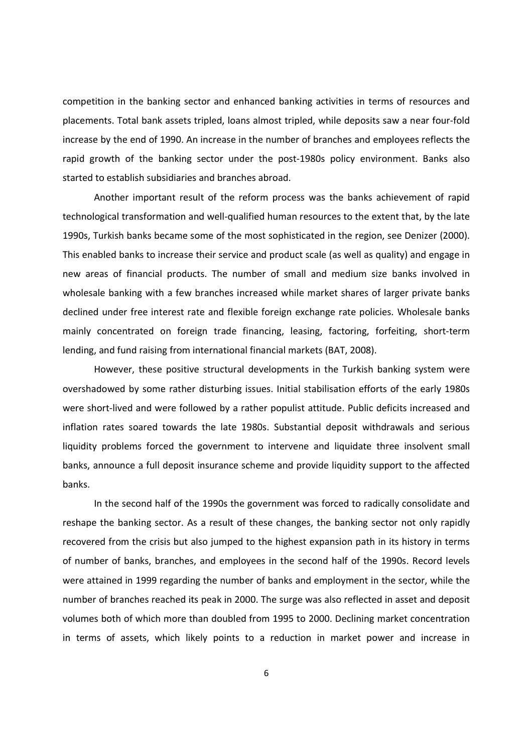competition in the banking sector and enhanced banking activities in terms of resources and placements. Total bank assets tripled, loans almost tripled, while deposits saw a near four-fold increase by the end of 1990. An increase in the number of branches and employees reflects the rapid growth of the banking sector under the post-1980s policy environment. Banks also started to establish subsidiaries and branches abroad.

Another important result of the reform process was the banks achievement of rapid technological transformation and well-qualified human resources to the extent that, by the late 1990s, Turkish banks became some of the most sophisticated in the region, see Denizer (2000). This enabled banks to increase their service and product scale (as well as quality) and engage in new areas of financial products. The number of small and medium size banks involved in wholesale banking with a few branches increased while market shares of larger private banks declined under free interest rate and flexible foreign exchange rate policies. Wholesale banks mainly concentrated on foreign trade financing, leasing, factoring, forfeiting, short-term lending, and fund raising from international financial markets (BAT, 2008).

However, these positive structural developments in the Turkish banking system were overshadowed by some rather disturbing issues. Initial stabilisation efforts of the early 1980s were short-lived and were followed by a rather populist attitude. Public deficits increased and inflation rates soared towards the late 1980s. Substantial deposit withdrawals and serious liquidity problems forced the government to intervene and liquidate three insolvent small banks, announce a full deposit insurance scheme and provide liquidity support to the affected banks.

In the second half of the 1990s the government was forced to radically consolidate and reshape the banking sector. As a result of these changes, the banking sector not only rapidly recovered from the crisis but also jumped to the highest expansion path in its history in terms of number of banks, branches, and employees in the second half of the 1990s. Record levels were attained in 1999 regarding the number of banks and employment in the sector, while the number of branches reached its peak in 2000. The surge was also reflected in asset and deposit volumes both of which more than doubled from 1995 to 2000. Declining market concentration in terms of assets, which likely points to a reduction in market power and increase in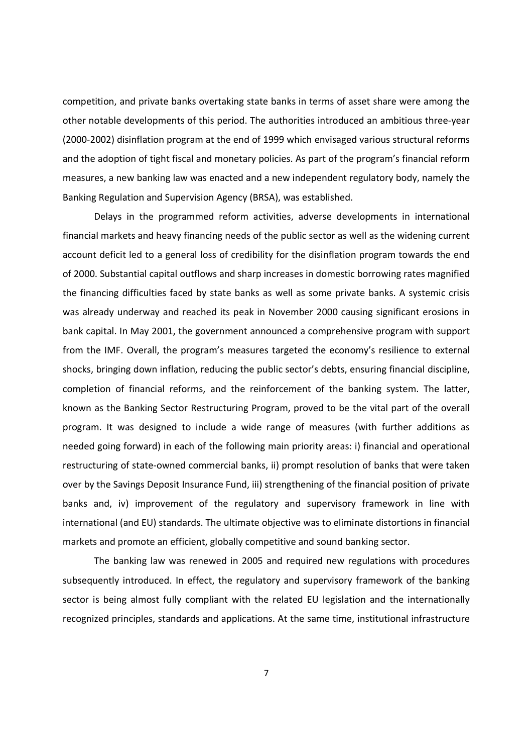competition, and private banks overtaking state banks in terms of asset share were among the other notable developments of this period. The authorities introduced an ambitious three-year (2000-2002) disinflation program at the end of 1999 which envisaged various structural reforms and the adoption of tight fiscal and monetary policies. As part of the program's financial reform measures, a new banking law was enacted and a new independent regulatory body, namely the Banking Regulation and Supervision Agency (BRSA), was established.

Delays in the programmed reform activities, adverse developments in international financial markets and heavy financing needs of the public sector as well as the widening current account deficit led to a general loss of credibility for the disinflation program towards the end of 2000. Substantial capital outflows and sharp increases in domestic borrowing rates magnified the financing difficulties faced by state banks as well as some private banks. A systemic crisis was already underway and reached its peak in November 2000 causing significant erosions in bank capital. In May 2001, the government announced a comprehensive program with support from the IMF. Overall, the program's measures targeted the economy's resilience to external shocks, bringing down inflation, reducing the public sector's debts, ensuring financial discipline, completion of financial reforms, and the reinforcement of the banking system. The latter, known as the Banking Sector Restructuring Program, proved to be the vital part of the overall program. It was designed to include a wide range of measures (with further additions as needed going forward) in each of the following main priority areas: i) financial and operational restructuring of state-owned commercial banks, ii) prompt resolution of banks that were taken over by the Savings Deposit Insurance Fund, iii) strengthening of the financial position of private banks and, iv) improvement of the regulatory and supervisory framework in line with international (and EU) standards. The ultimate objective was to eliminate distortions in financial markets and promote an efficient, globally competitive and sound banking sector.

The banking law was renewed in 2005 and required new regulations with procedures subsequently introduced. In effect, the regulatory and supervisory framework of the banking sector is being almost fully compliant with the related EU legislation and the internationally recognized principles, standards and applications. At the same time, institutional infrastructure

7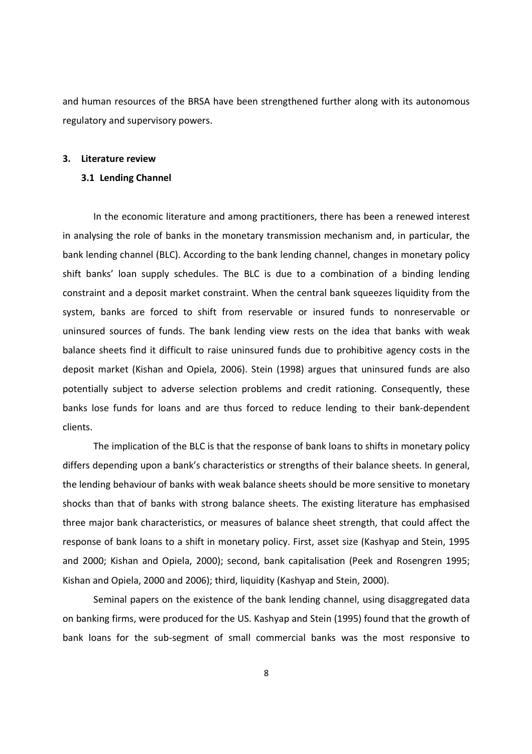and human resources of the BRSA have been strengthened further along with its autonomous regulatory and supervisory powers.

#### 3. Literature review

#### 3.1 Lending Channel

In the economic literature and among practitioners, there has been a renewed interest in analysing the role of banks in the monetary transmission mechanism and, in particular, the bank lending channel (BLC). According to the bank lending channel, changes in monetary policy shift banks' loan supply schedules. The BLC is due to a combination of a binding lending constraint and a deposit market constraint. When the central bank squeezes liquidity from the system, banks are forced to shift from reservable or insured funds to nonreservable or uninsured sources of funds. The bank lending view rests on the idea that banks with weak balance sheets find it difficult to raise uninsured funds due to prohibitive agency costs in the deposit market (Kishan and Opiela, 2006). Stein (1998) argues that uninsured funds are also potentially subject to adverse selection problems and credit rationing. Consequently, these banks lose funds for loans and are thus forced to reduce lending to their bank-dependent clients.

The implication of the BLC is that the response of bank loans to shifts in monetary policy differs depending upon a bank's characteristics or strengths of their balance sheets. In general, the lending behaviour of banks with weak balance sheets should be more sensitive to monetary shocks than that of banks with strong balance sheets. The existing literature has emphasised three major bank characteristics, or measures of balance sheet strength, that could affect the response of bank loans to a shift in monetary policy. First, asset size (Kashyap and Stein, 1995 and 2000; Kishan and Opiela, 2000); second, bank capitalisation (Peek and Rosengren 1995; Kishan and Opiela, 2000 and 2006); third, liquidity (Kashyap and Stein, 2000).

Seminal papers on the existence of the bank lending channel, using disaggregated data on banking firms, were produced for the US. Kashyap and Stein (1995) found that the growth of bank loans for the sub-segment of small commercial banks was the most responsive to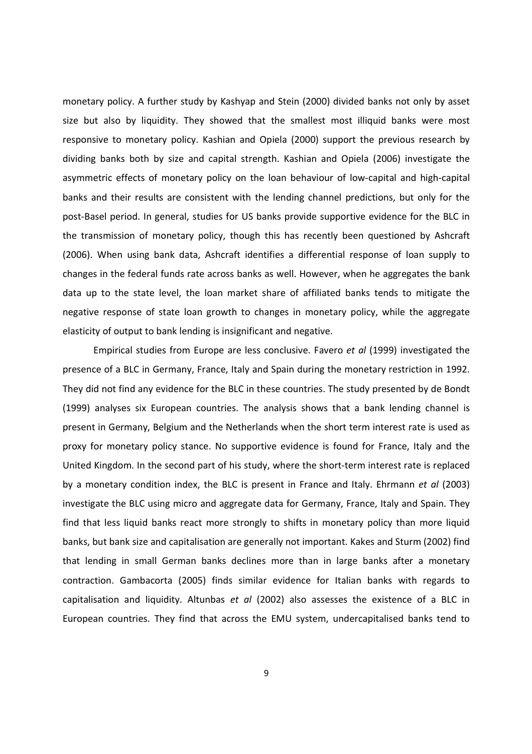monetary policy. A further study by Kashyap and Stein (2000) divided banks not only by asset size but also by liquidity. They showed that the smallest most illiquid banks were most responsive to monetary policy. Kashian and Opiela (2000) support the previous research by dividing banks both by size and capital strength. Kashian and Opiela (2006) investigate the asymmetric effects of monetary policy on the loan behaviour of low-capital and high-capital banks and their results are consistent with the lending channel predictions, but only for the post-Basel period. In general, studies for US banks provide supportive evidence for the BLC in the transmission of monetary policy, though this has recently been questioned by Ashcraft (2006). When using bank data, Ashcraft identifies a differential response of loan supply to changes in the federal funds rate across banks as well. However, when he aggregates the bank data up to the state level, the loan market share of affiliated banks tends to mitigate the negative response of state loan growth to changes in monetary policy, while the aggregate elasticity of output to bank lending is insignificant and negative.

Empirical studies from Europe are less conclusive. Favero et al (1999) investigated the presence of a BLC in Germany, France, Italy and Spain during the monetary restriction in 1992. They did not find any evidence for the BLC in these countries. The study presented by de Bondt (1999) analyses six European countries. The analysis shows that a bank lending channel is present in Germany, Belgium and the Netherlands when the short term interest rate is used as proxy for monetary policy stance. No supportive evidence is found for France, Italy and the United Kingdom. In the second part of his study, where the short-term interest rate is replaced by a monetary condition index, the BLC is present in France and Italy. Ehrmann et al (2003) investigate the BLC using micro and aggregate data for Germany, France, Italy and Spain. They find that less liquid banks react more strongly to shifts in monetary policy than more liquid banks, but bank size and capitalisation are generally not important. Kakes and Sturm (2002) find that lending in small German banks declines more than in large banks after a monetary contraction. Gambacorta (2005) finds similar evidence for Italian banks with regards to capitalisation and liquidity. Altunbas et al  $(2002)$  also assesses the existence of a BLC in European countries. They find that across the EMU system, undercapitalised banks tend to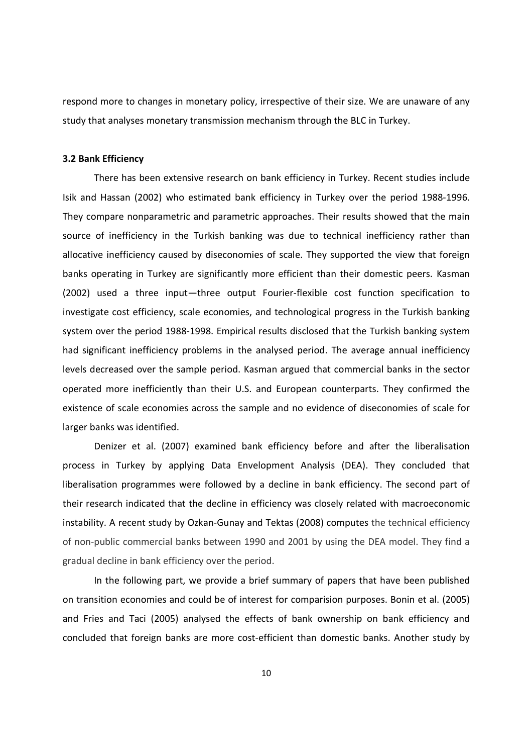respond more to changes in monetary policy, irrespective of their size. We are unaware of any study that analyses monetary transmission mechanism through the BLC in Turkey.

## 3.2 Bank Efficiency

There has been extensive research on bank efficiency in Turkey. Recent studies include Isik and Hassan (2002) who estimated bank efficiency in Turkey over the period 1988-1996. They compare nonparametric and parametric approaches. Their results showed that the main source of inefficiency in the Turkish banking was due to technical inefficiency rather than allocative inefficiency caused by diseconomies of scale. They supported the view that foreign banks operating in Turkey are significantly more efficient than their domestic peers. Kasman (2002) used a three input—three output Fourier-flexible cost function specification to investigate cost efficiency, scale economies, and technological progress in the Turkish banking system over the period 1988-1998. Empirical results disclosed that the Turkish banking system had significant inefficiency problems in the analysed period. The average annual inefficiency levels decreased over the sample period. Kasman argued that commercial banks in the sector operated more inefficiently than their U.S. and European counterparts. They confirmed the existence of scale economies across the sample and no evidence of diseconomies of scale for larger banks was identified.

Denizer et al. (2007) examined bank efficiency before and after the liberalisation process in Turkey by applying Data Envelopment Analysis (DEA). They concluded that liberalisation programmes were followed by a decline in bank efficiency. The second part of their research indicated that the decline in efficiency was closely related with macroeconomic instability. A recent study by Ozkan-Gunay and Tektas (2008) computes the technical efficiency of non-public commercial banks between 1990 and 2001 by using the DEA model. They find a gradual decline in bank efficiency over the period.

In the following part, we provide a brief summary of papers that have been published on transition economies and could be of interest for comparision purposes. Bonin et al. (2005) and Fries and Taci (2005) analysed the effects of bank ownership on bank efficiency and concluded that foreign banks are more cost-efficient than domestic banks. Another study by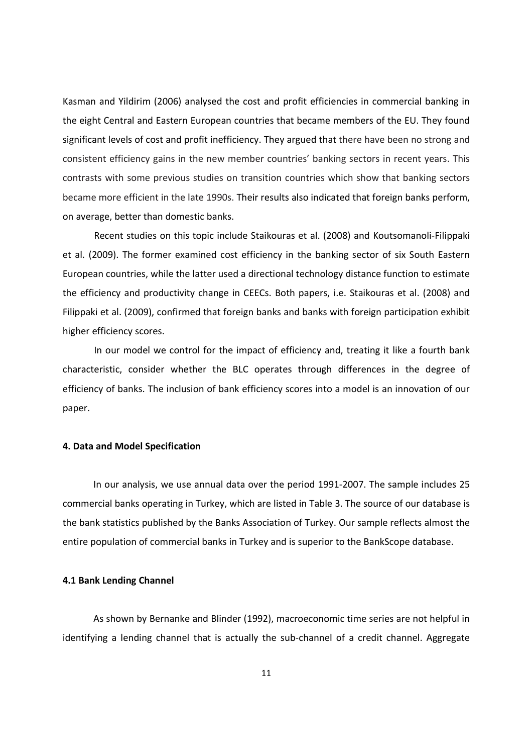Kasman and Yildirim (2006) analysed the cost and profit efficiencies in commercial banking in the eight Central and Eastern European countries that became members of the EU. They found significant levels of cost and profit inefficiency. They argued that there have been no strong and consistent efficiency gains in the new member countries' banking sectors in recent years. This contrasts with some previous studies on transition countries which show that banking sectors became more efficient in the late 1990s. Their results also indicated that foreign banks perform, on average, better than domestic banks.

Recent studies on this topic include Staikouras et al. (2008) and Koutsomanoli-Filippaki et al. (2009). The former examined cost efficiency in the banking sector of six South Eastern European countries, while the latter used a directional technology distance function to estimate the efficiency and productivity change in CEECs. Both papers, i.e. Staikouras et al. (2008) and Filippaki et al. (2009), confirmed that foreign banks and banks with foreign participation exhibit higher efficiency scores.

In our model we control for the impact of efficiency and, treating it like a fourth bank characteristic, consider whether the BLC operates through differences in the degree of efficiency of banks. The inclusion of bank efficiency scores into a model is an innovation of our paper.

## 4. Data and Model Specification

In our analysis, we use annual data over the period 1991-2007. The sample includes 25 commercial banks operating in Turkey, which are listed in Table 3. The source of our database is the bank statistics published by the Banks Association of Turkey. Our sample reflects almost the entire population of commercial banks in Turkey and is superior to the BankScope database.

#### 4.1 Bank Lending Channel

As shown by Bernanke and Blinder (1992), macroeconomic time series are not helpful in identifying a lending channel that is actually the sub-channel of a credit channel. Aggregate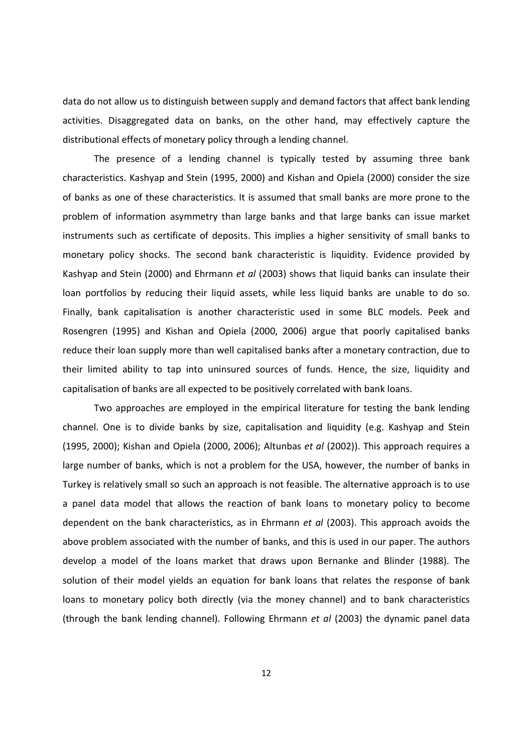data do not allow us to distinguish between supply and demand factors that affect bank lending activities. Disaggregated data on banks, on the other hand, may effectively capture the distributional effects of monetary policy through a lending channel.

The presence of a lending channel is typically tested by assuming three bank characteristics. Kashyap and Stein (1995, 2000) and Kishan and Opiela (2000) consider the size of banks as one of these characteristics. It is assumed that small banks are more prone to the problem of information asymmetry than large banks and that large banks can issue market instruments such as certificate of deposits. This implies a higher sensitivity of small banks to monetary policy shocks. The second bank characteristic is liquidity. Evidence provided by Kashyap and Stein (2000) and Ehrmann et al (2003) shows that liquid banks can insulate their loan portfolios by reducing their liquid assets, while less liquid banks are unable to do so. Finally, bank capitalisation is another characteristic used in some BLC models. Peek and Rosengren (1995) and Kishan and Opiela (2000, 2006) argue that poorly capitalised banks reduce their loan supply more than well capitalised banks after a monetary contraction, due to their limited ability to tap into uninsured sources of funds. Hence, the size, liquidity and capitalisation of banks are all expected to be positively correlated with bank loans.

Two approaches are employed in the empirical literature for testing the bank lending channel. One is to divide banks by size, capitalisation and liquidity (e.g. Kashyap and Stein (1995, 2000); Kishan and Opiela (2000, 2006); Altunbas et al (2002)). This approach requires a large number of banks, which is not a problem for the USA, however, the number of banks in Turkey is relatively small so such an approach is not feasible. The alternative approach is to use a panel data model that allows the reaction of bank loans to monetary policy to become dependent on the bank characteristics, as in Ehrmann et al (2003). This approach avoids the above problem associated with the number of banks, and this is used in our paper. The authors develop a model of the loans market that draws upon Bernanke and Blinder (1988). The solution of their model yields an equation for bank loans that relates the response of bank loans to monetary policy both directly (via the money channel) and to bank characteristics (through the bank lending channel). Following Ehrmann et al (2003) the dynamic panel data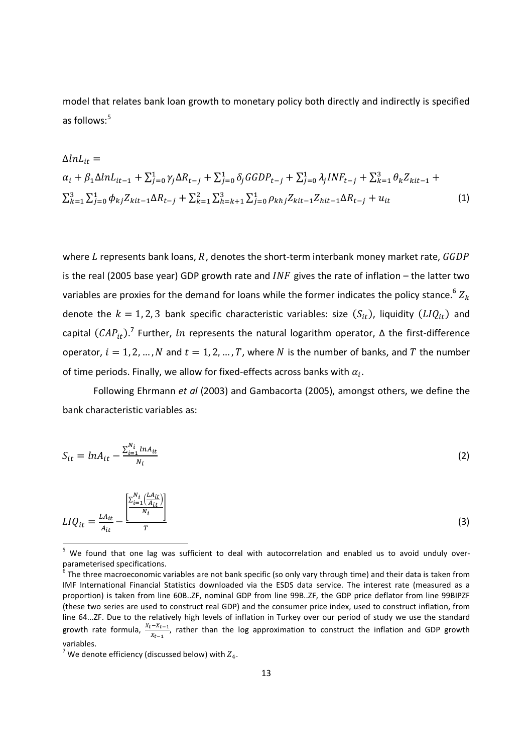model that relates bank loan growth to monetary policy both directly and indirectly is specified as follows:<sup>5</sup>

$$
\Delta ln L_{it} =
$$
\n
$$
\alpha_i + \beta_1 \Delta ln L_{it-1} + \sum_{j=0}^1 \gamma_j \Delta R_{t-j} + \sum_{j=0}^1 \delta_j GGDP_{t-j} + \sum_{j=0}^1 \lambda_j INF_{t-j} + \sum_{k=1}^3 \theta_k Z_{kit-1} +
$$
\n
$$
\sum_{k=1}^3 \sum_{j=0}^1 \phi_{kj} Z_{kit-1} \Delta R_{t-j} + \sum_{k=1}^2 \sum_{h=k+1}^3 \sum_{j=0}^1 \rho_{khj} Z_{kit-1} Z_{hit-1} \Delta R_{t-j} + u_{it}
$$
\n(1)

where L represents bank loans, R, denotes the short-term interbank money market rate,  $GGDP$ is the real (2005 base year) GDP growth rate and  $INF$  gives the rate of inflation – the latter two variables are proxies for the demand for loans while the former indicates the policy stance.<sup>6</sup>  $Z_k$ denote the  $k = 1, 2, 3$  bank specific characteristic variables: size  $(S_{it})$ , liquidity  $(LIQ_{it})$  and capital  $(CAP_{it})$ .<sup>7</sup> Further, ln represents the natural logarithm operator,  $\Delta$  the first-difference operator,  $i = 1, 2, ..., N$  and  $t = 1, 2, ..., T$ , where N is the number of banks, and T the number of time periods. Finally, we allow for fixed-effects across banks with  $\alpha_i$ .

Following Ehrmann et al (2003) and Gambacorta (2005), amongst others, we define the bank characteristic variables as:

$$
S_{it} = ln A_{it} - \frac{\sum_{i=1}^{N_i} ln A_{it}}{N_i}
$$
 (2)

$$
LIQ_{it} = \frac{LA_{it}}{A_{it}} - \frac{\left[\frac{\sum_{i=1}^{N_i} \left(\frac{LA_{it}}{A_{it}}\right)}{N_i}\right]}{T}
$$
(3)

<sup>&</sup>lt;sup>5</sup> We found that one lag was sufficient to deal with autocorrelation and enabled us to avoid unduly overparameterised specifications.

 $^6$  The three macroeconomic variables are not bank specific (so only vary through time) and their data is taken from IMF International Financial Statistics downloaded via the ESDS data service. The interest rate (measured as a proportion) is taken from line 60B..ZF, nominal GDP from line 99B..ZF, the GDP price deflator from line 99BIPZF (these two series are used to construct real GDP) and the consumer price index, used to construct inflation, from line 64...ZF. Due to the relatively high levels of inflation in Turkey over our period of study we use the standard growth rate formula,  $\frac{X_t-X_{t-1}}{X_{t-1}}$ , rather than the log approximation to construct the inflation and GDP growth variables.

<sup>&</sup>lt;sup>7</sup> We denote efficiency (discussed below) with  $Z_4$ .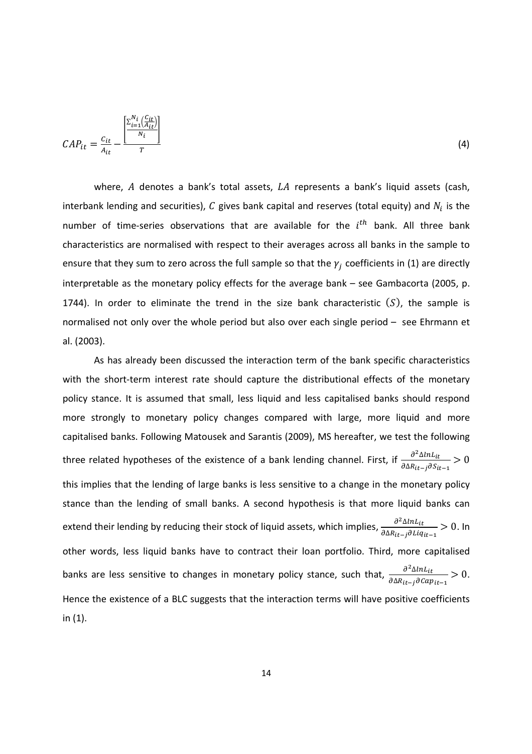$$
CAP_{it} = \frac{c_{it}}{A_{it}} - \frac{\left[\frac{\sum_{i=1}^{N_i} \left(\frac{C_{it}}{t}\right)}{N_i}\right]}{r}
$$
\n
$$
(4)
$$

where,  $A$  denotes a bank's total assets,  $LA$  represents a bank's liquid assets (cash, interbank lending and securities),  $C$  gives bank capital and reserves (total equity) and  $N_i$  is the number of time-series observations that are available for the  $i^{th}$  bank. All three bank characteristics are normalised with respect to their averages across all banks in the sample to ensure that they sum to zero across the full sample so that the  $\gamma_j$  coefficients in (1) are directly interpretable as the monetary policy effects for the average bank – see Gambacorta (2005, p. 1744). In order to eliminate the trend in the size bank characteristic  $(S)$ , the sample is normalised not only over the whole period but also over each single period – see Ehrmann et al. (2003).

As has already been discussed the interaction term of the bank specific characteristics with the short-term interest rate should capture the distributional effects of the monetary policy stance. It is assumed that small, less liquid and less capitalised banks should respond more strongly to monetary policy changes compared with large, more liquid and more capitalised banks. Following Matousek and Sarantis (2009), MS hereafter, we test the following three related hypotheses of the existence of a bank lending channel. First, if  $\frac{\partial^2 \Delta ln L_{it}}{\partial \Delta ln}$  $\frac{\partial \Delta R_{it-j}}{\partial \Delta R_{it-j}} > 0$ this implies that the lending of large banks is less sensitive to a change in the monetary policy stance than the lending of small banks. A second hypothesis is that more liquid banks can extend their lending by reducing their stock of liquid assets, which implies,  $\frac{\partial^2 \Delta In L_{it}}{\partial \Delta In}$  $\frac{\partial \Delta t}{\partial \Delta R_{it-j} \partial L i q_{it-1}} > 0$ . In other words, less liquid banks have to contract their loan portfolio. Third, more capitalised banks are less sensitive to changes in monetary policy stance, such that,  $\frac{\partial^2 \Delta ln L_{it}}{\partial \Delta ln}$  $\frac{\partial \Delta t}{\partial \Delta R_{it-j} \partial \Omega} > 0.$ Hence the existence of a BLC suggests that the interaction terms will have positive coefficients in (1).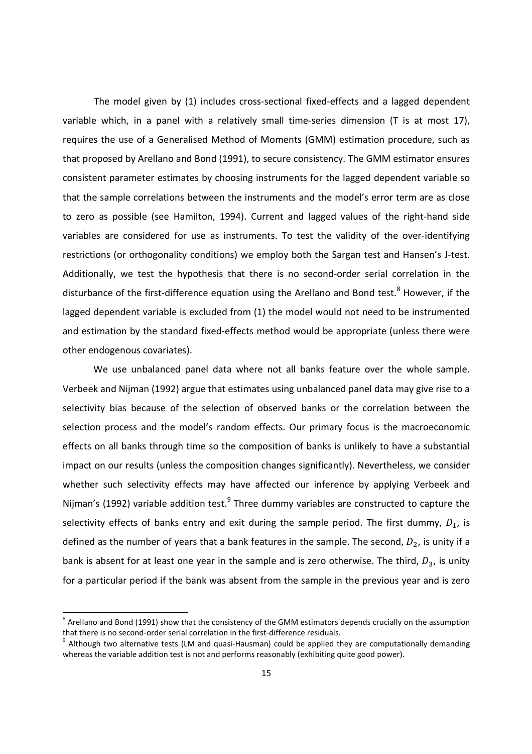The model given by (1) includes cross-sectional fixed-effects and a lagged dependent variable which, in a panel with a relatively small time-series dimension (T is at most 17), requires the use of a Generalised Method of Moments (GMM) estimation procedure, such as that proposed by Arellano and Bond (1991), to secure consistency. The GMM estimator ensures consistent parameter estimates by choosing instruments for the lagged dependent variable so that the sample correlations between the instruments and the model's error term are as close to zero as possible (see Hamilton, 1994). Current and lagged values of the right-hand side variables are considered for use as instruments. To test the validity of the over-identifying restrictions (or orthogonality conditions) we employ both the Sargan test and Hansen's J-test. Additionally, we test the hypothesis that there is no second-order serial correlation in the disturbance of the first-difference equation using the Arellano and Bond test.<sup>8</sup> However, if the lagged dependent variable is excluded from (1) the model would not need to be instrumented and estimation by the standard fixed-effects method would be appropriate (unless there were other endogenous covariates).

We use unbalanced panel data where not all banks feature over the whole sample. Verbeek and Nijman (1992) argue that estimates using unbalanced panel data may give rise to a selectivity bias because of the selection of observed banks or the correlation between the selection process and the model's random effects. Our primary focus is the macroeconomic effects on all banks through time so the composition of banks is unlikely to have a substantial impact on our results (unless the composition changes significantly). Nevertheless, we consider whether such selectivity effects may have affected our inference by applying Verbeek and Nijman's (1992) variable addition test. $9$  Three dummy variables are constructed to capture the selectivity effects of banks entry and exit during the sample period. The first dummy,  $D_1$ , is defined as the number of years that a bank features in the sample. The second,  $D_2$ , is unity if a bank is absent for at least one year in the sample and is zero otherwise. The third,  $D_3$ , is unity for a particular period if the bank was absent from the sample in the previous year and is zero

 $^8$  Arellano and Bond (1991) show that the consistency of the GMM estimators depends crucially on the assumption that there is no second-order serial correlation in the first-difference residuals.

<sup>&</sup>lt;sup>9</sup> Although two alternative tests (LM and quasi-Hausman) could be applied they are computationally demanding whereas the variable addition test is not and performs reasonably (exhibiting quite good power).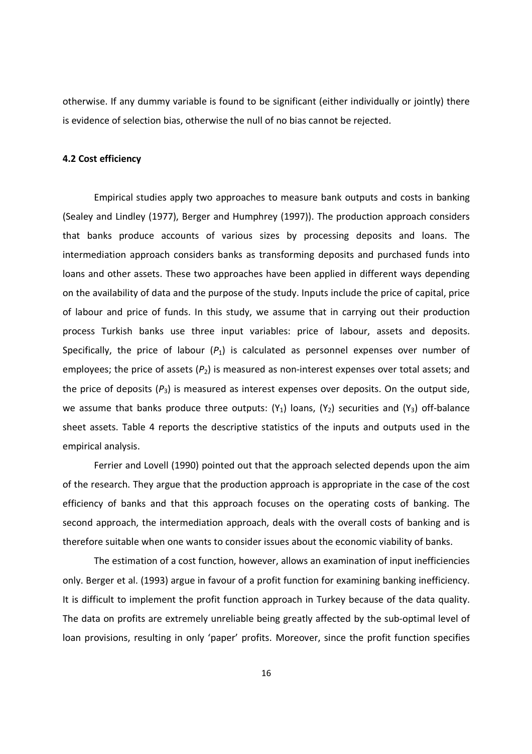otherwise. If any dummy variable is found to be significant (either individually or jointly) there is evidence of selection bias, otherwise the null of no bias cannot be rejected.

## 4.2 Cost efficiency

Empirical studies apply two approaches to measure bank outputs and costs in banking (Sealey and Lindley (1977), Berger and Humphrey (1997)). The production approach considers that banks produce accounts of various sizes by processing deposits and loans. The intermediation approach considers banks as transforming deposits and purchased funds into loans and other assets. These two approaches have been applied in different ways depending on the availability of data and the purpose of the study. Inputs include the price of capital, price of labour and price of funds. In this study, we assume that in carrying out their production process Turkish banks use three input variables: price of labour, assets and deposits. Specifically, the price of labour  $(P_1)$  is calculated as personnel expenses over number of employees; the price of assets  $(P_2)$  is measured as non-interest expenses over total assets; and the price of deposits  $(P_3)$  is measured as interest expenses over deposits. On the output side, we assume that banks produce three outputs:  $(Y_1)$  loans,  $(Y_2)$  securities and  $(Y_3)$  off-balance sheet assets. Table 4 reports the descriptive statistics of the inputs and outputs used in the empirical analysis.

Ferrier and Lovell (1990) pointed out that the approach selected depends upon the aim of the research. They argue that the production approach is appropriate in the case of the cost efficiency of banks and that this approach focuses on the operating costs of banking. The second approach, the intermediation approach, deals with the overall costs of banking and is therefore suitable when one wants to consider issues about the economic viability of banks.

The estimation of a cost function, however, allows an examination of input inefficiencies only. Berger et al. (1993) argue in favour of a profit function for examining banking inefficiency. It is difficult to implement the profit function approach in Turkey because of the data quality. The data on profits are extremely unreliable being greatly affected by the sub-optimal level of loan provisions, resulting in only 'paper' profits. Moreover, since the profit function specifies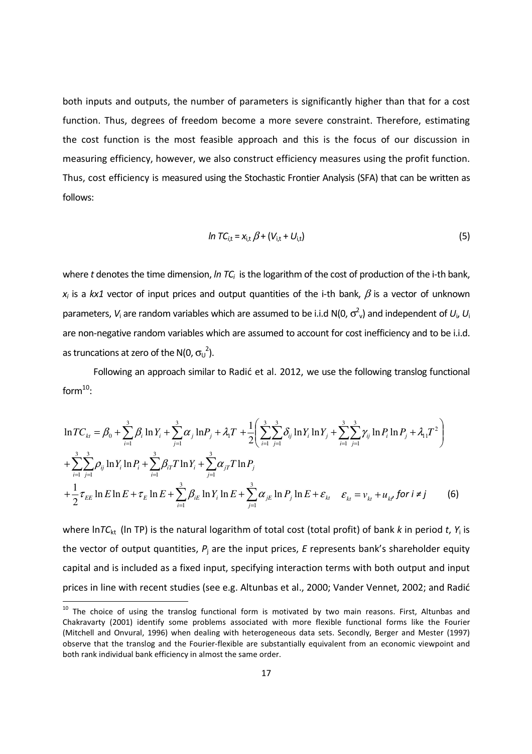both inputs and outputs, the number of parameters is significantly higher than that for a cost function. Thus, degrees of freedom become a more severe constraint. Therefore, estimating the cost function is the most feasible approach and this is the focus of our discussion in measuring efficiency, however, we also construct efficiency measures using the profit function. Thus, cost efficiency is measured using the Stochastic Frontier Analysis (SFA) that can be written as follows:

$$
In TCi,t = xi,t \beta + (Vi,t + Ui,t)
$$
\n(5)

where  $t$  denotes the time dimension, In  $TC_i$  is the logarithm of the cost of production of the i-th bank,  $x_i$  is a kx1 vector of input prices and output quantities of the i-th bank,  $\beta$  is a vector of unknown parameters,  $V_i$  are random variables which are assumed to be i.i.d N(0,  $\sigma_{\nu}^2$ ) and independent of  $U_i$ ,  $U_i$ are non-negative random variables which are assumed to account for cost inefficiency and to be i.i.d. as truncations at zero of the N(0,  $\sigma_U^2$ ).

Following an approach similar to Radić et al. 2012, we use the following translog functional form $^{10}$ :

$$
\ln TC_{kt} = \beta_0 + \sum_{i=1}^3 \beta_i \ln Y_i + \sum_{j=1}^3 \alpha_j \ln P_j + \lambda_i T + \frac{1}{2} \left( \sum_{i=1}^3 \sum_{j=1}^3 \delta_{ij} \ln Y_i \ln Y_j + \sum_{i=1}^3 \sum_{j=1}^3 \gamma_{ij} \ln P_i \ln P_j + \lambda_{11} T^2 \right) + \sum_{i=1}^3 \sum_{j=1}^3 \rho_{ij} \ln Y_i \ln P_i + \sum_{i=1}^3 \beta_{iT} T \ln Y_i + \sum_{j=1}^3 \alpha_{jT} T \ln P_j + \frac{1}{2} \tau_{EE} \ln E \ln E + \tau_E \ln E + \sum_{i=1}^3 \beta_{iE} \ln Y_i \ln E + \sum_{j=1}^3 \alpha_{jE} \ln P_j \ln E + \varepsilon_{kt} \quad \varepsilon_{kt} = v_{kt} + u_{kt} \text{ for } i \neq j
$$
 (6)

where lnTC<sub>kt</sub> (In TP) is the natural logarithm of total cost (total profit) of bank k in period t, Y<sub>i</sub> is the vector of output quantities,  $P_j$  are the input prices, E represents bank's shareholder equity capital and is included as a fixed input, specifying interaction terms with both output and input prices in line with recent studies (see e.g. Altunbas et al., 2000; Vander Vennet, 2002; and Radić

 $10$  The choice of using the translog functional form is motivated by two main reasons. First, Altunbas and Chakravarty (2001) identify some problems associated with more flexible functional forms like the Fourier (Mitchell and Onvural, 1996) when dealing with heterogeneous data sets. Secondly, Berger and Mester (1997) observe that the translog and the Fourier-flexible are substantially equivalent from an economic viewpoint and both rank individual bank efficiency in almost the same order.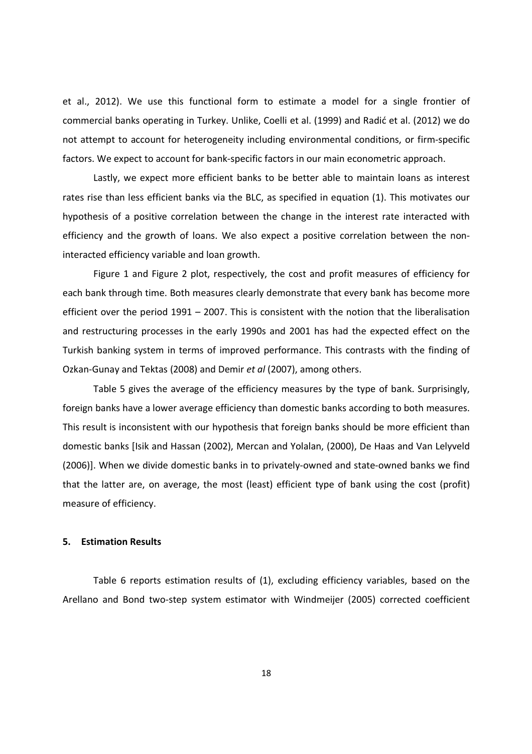et al., 2012). We use this functional form to estimate a model for a single frontier of commercial banks operating in Turkey. Unlike, Coelli et al. (1999) and Radić et al. (2012) we do not attempt to account for heterogeneity including environmental conditions, or firm-specific factors. We expect to account for bank-specific factors in our main econometric approach.

Lastly, we expect more efficient banks to be better able to maintain loans as interest rates rise than less efficient banks via the BLC, as specified in equation (1). This motivates our hypothesis of a positive correlation between the change in the interest rate interacted with efficiency and the growth of loans. We also expect a positive correlation between the noninteracted efficiency variable and loan growth.

Figure 1 and Figure 2 plot, respectively, the cost and profit measures of efficiency for each bank through time. Both measures clearly demonstrate that every bank has become more efficient over the period 1991 – 2007. This is consistent with the notion that the liberalisation and restructuring processes in the early 1990s and 2001 has had the expected effect on the Turkish banking system in terms of improved performance. This contrasts with the finding of Ozkan-Gunay and Tektas (2008) and Demir et al (2007), among others.

Table 5 gives the average of the efficiency measures by the type of bank. Surprisingly, foreign banks have a lower average efficiency than domestic banks according to both measures. This result is inconsistent with our hypothesis that foreign banks should be more efficient than domestic banks [Isik and Hassan (2002), Mercan and Yolalan, (2000), De Haas and Van Lelyveld (2006)]. When we divide domestic banks in to privately-owned and state-owned banks we find that the latter are, on average, the most (least) efficient type of bank using the cost (profit) measure of efficiency.

#### 5. Estimation Results

Table 6 reports estimation results of (1), excluding efficiency variables, based on the Arellano and Bond two-step system estimator with Windmeijer (2005) corrected coefficient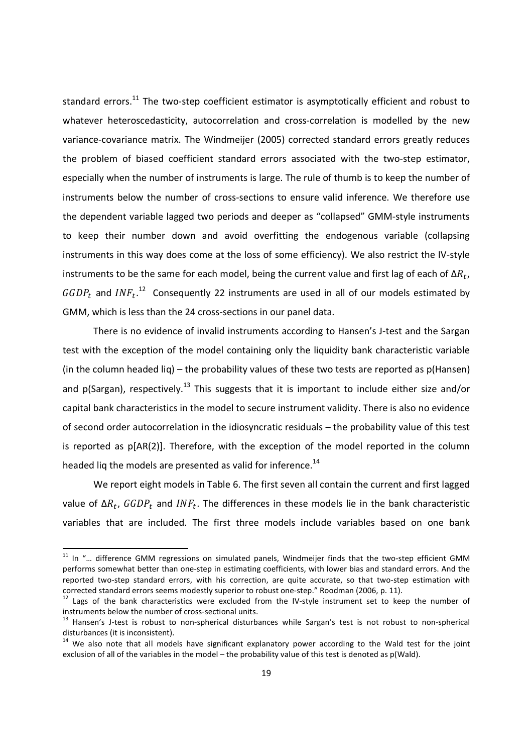standard errors.<sup>11</sup> The two-step coefficient estimator is asymptotically efficient and robust to whatever heteroscedasticity, autocorrelation and cross-correlation is modelled by the new variance-covariance matrix. The Windmeijer (2005) corrected standard errors greatly reduces the problem of biased coefficient standard errors associated with the two-step estimator, especially when the number of instruments is large. The rule of thumb is to keep the number of instruments below the number of cross-sections to ensure valid inference. We therefore use the dependent variable lagged two periods and deeper as "collapsed" GMM-style instruments to keep their number down and avoid overfitting the endogenous variable (collapsing instruments in this way does come at the loss of some efficiency). We also restrict the IV-style instruments to be the same for each model, being the current value and first lag of each of  $\Delta R_t$ ,  $GGDP_t$  and  $INF_t$ .<sup>12</sup> Consequently 22 instruments are used in all of our models estimated by GMM, which is less than the 24 cross-sections in our panel data.

There is no evidence of invalid instruments according to Hansen's J-test and the Sargan test with the exception of the model containing only the liquidity bank characteristic variable (in the column headed liq) – the probability values of these two tests are reported as p(Hansen) and  $p(Sargan)$ , respectively.<sup>13</sup> This suggests that it is important to include either size and/or capital bank characteristics in the model to secure instrument validity. There is also no evidence of second order autocorrelation in the idiosyncratic residuals – the probability value of this test is reported as p[AR(2)]. Therefore, with the exception of the model reported in the column headed liq the models are presented as valid for inference.<sup>14</sup>

We report eight models in Table 6. The first seven all contain the current and first lagged value of Δ $R_t$ ,  $GGDP_t$  and  $INF_t$ . The differences in these models lie in the bank characteristic variables that are included. The first three models include variables based on one bank

 $11$  In "... difference GMM regressions on simulated panels, Windmeijer finds that the two-step efficient GMM performs somewhat better than one-step in estimating coefficients, with lower bias and standard errors. And the reported two-step standard errors, with his correction, are quite accurate, so that two-step estimation with corrected standard errors seems modestly superior to robust one-step." Roodman (2006, p. 11).

<sup>&</sup>lt;sup>12</sup> Lags of the bank characteristics were excluded from the IV-style instrument set to keep the number of instruments below the number of cross-sectional units.

<sup>&</sup>lt;sup>13</sup> Hansen's J-test is robust to non-spherical disturbances while Sargan's test is not robust to non-spherical disturbances (it is inconsistent).

<sup>&</sup>lt;sup>14</sup> We also note that all models have significant explanatory power according to the Wald test for the joint exclusion of all of the variables in the model – the probability value of this test is denoted as p(Wald).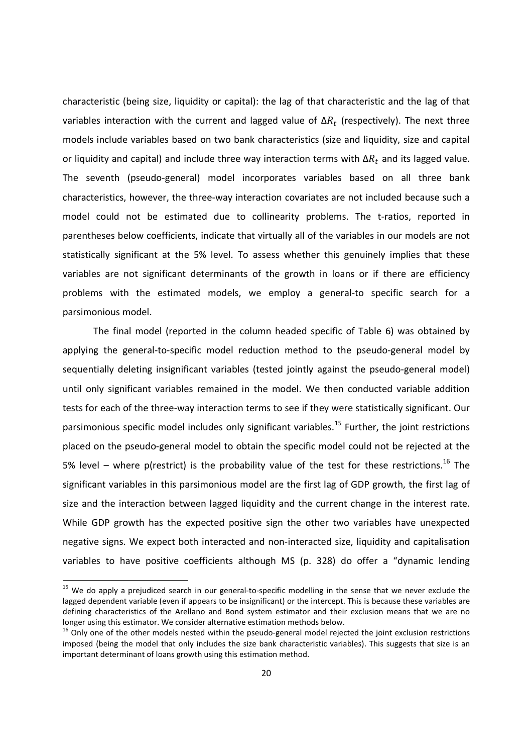characteristic (being size, liquidity or capital): the lag of that characteristic and the lag of that variables interaction with the current and lagged value of  $\Delta R_t$  (respectively). The next three models include variables based on two bank characteristics (size and liquidity, size and capital or liquidity and capital) and include three way interaction terms with  $\Delta R_t$  and its lagged value. The seventh (pseudo-general) model incorporates variables based on all three bank characteristics, however, the three-way interaction covariates are not included because such a model could not be estimated due to collinearity problems. The t-ratios, reported in parentheses below coefficients, indicate that virtually all of the variables in our models are not statistically significant at the 5% level. To assess whether this genuinely implies that these variables are not significant determinants of the growth in loans or if there are efficiency problems with the estimated models, we employ a general-to specific search for a parsimonious model.

The final model (reported in the column headed specific of Table 6) was obtained by applying the general-to-specific model reduction method to the pseudo-general model by sequentially deleting insignificant variables (tested jointly against the pseudo-general model) until only significant variables remained in the model. We then conducted variable addition tests for each of the three-way interaction terms to see if they were statistically significant. Our parsimonious specific model includes only significant variables.<sup>15</sup> Further, the joint restrictions placed on the pseudo-general model to obtain the specific model could not be rejected at the 5% level – where p(restrict) is the probability value of the test for these restrictions.<sup>16</sup> The significant variables in this parsimonious model are the first lag of GDP growth, the first lag of size and the interaction between lagged liquidity and the current change in the interest rate. While GDP growth has the expected positive sign the other two variables have unexpected negative signs. We expect both interacted and non-interacted size, liquidity and capitalisation variables to have positive coefficients although MS (p. 328) do offer a "dynamic lending

<sup>&</sup>lt;sup>15</sup> We do apply a prejudiced search in our general-to-specific modelling in the sense that we never exclude the lagged dependent variable (even if appears to be insignificant) or the intercept. This is because these variables are defining characteristics of the Arellano and Bond system estimator and their exclusion means that we are no longer using this estimator. We consider alternative estimation methods below.

 $16$  Only one of the other models nested within the pseudo-general model rejected the joint exclusion restrictions imposed (being the model that only includes the size bank characteristic variables). This suggests that size is an important determinant of loans growth using this estimation method.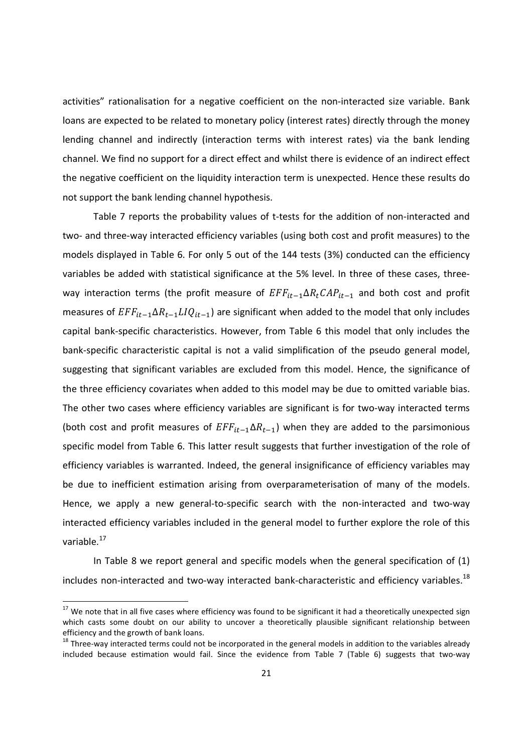activities" rationalisation for a negative coefficient on the non-interacted size variable. Bank loans are expected to be related to monetary policy (interest rates) directly through the money lending channel and indirectly (interaction terms with interest rates) via the bank lending channel. We find no support for a direct effect and whilst there is evidence of an indirect effect the negative coefficient on the liquidity interaction term is unexpected. Hence these results do not support the bank lending channel hypothesis.

Table 7 reports the probability values of t-tests for the addition of non-interacted and two- and three-way interacted efficiency variables (using both cost and profit measures) to the models displayed in Table 6. For only 5 out of the 144 tests (3%) conducted can the efficiency variables be added with statistical significance at the 5% level. In three of these cases, threeway interaction terms (the profit measure of  $EFF_{it-1}\Delta R_tCAP_{it-1}$  and both cost and profit measures of  $EFF_{it-1}\Delta R_{t-1}LIQ_{it-1}$  are significant when added to the model that only includes capital bank-specific characteristics. However, from Table 6 this model that only includes the bank-specific characteristic capital is not a valid simplification of the pseudo general model, suggesting that significant variables are excluded from this model. Hence, the significance of the three efficiency covariates when added to this model may be due to omitted variable bias. The other two cases where efficiency variables are significant is for two-way interacted terms (both cost and profit measures of  $EFF_{it-1}\Delta R_{t-1}$ ) when they are added to the parsimonious specific model from Table 6. This latter result suggests that further investigation of the role of efficiency variables is warranted. Indeed, the general insignificance of efficiency variables may be due to inefficient estimation arising from overparameterisation of many of the models. Hence, we apply a new general-to-specific search with the non-interacted and two-way interacted efficiency variables included in the general model to further explore the role of this variable.<sup>17</sup>

In Table 8 we report general and specific models when the general specification of (1) includes non-interacted and two-way interacted bank-characteristic and efficiency variables.<sup>18</sup>

 $17$  We note that in all five cases where efficiency was found to be significant it had a theoretically unexpected sign which casts some doubt on our ability to uncover a theoretically plausible significant relationship between efficiency and the growth of bank loans.

 $18$  Three-way interacted terms could not be incorporated in the general models in addition to the variables already included because estimation would fail. Since the evidence from Table 7 (Table 6) suggests that two-way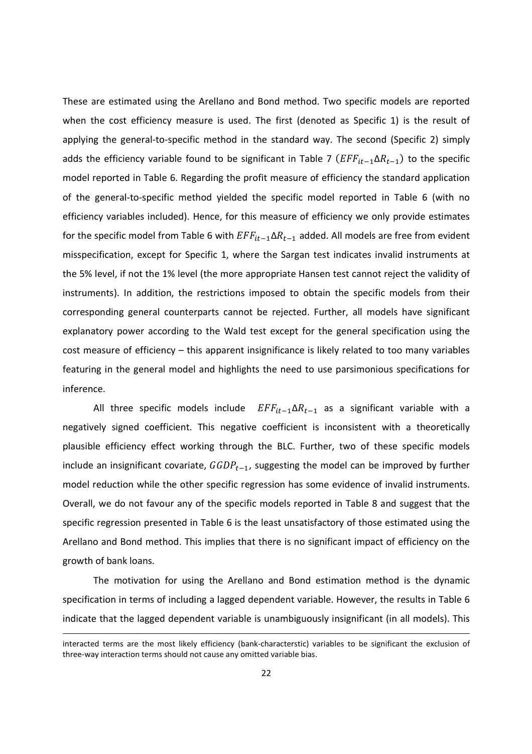These are estimated using the Arellano and Bond method. Two specific models are reported when the cost efficiency measure is used. The first (denoted as Specific 1) is the result of applying the general-to-specific method in the standard way. The second (Specific 2) simply adds the efficiency variable found to be significant in Table 7 ( $EFF_{it-1}\Delta R_{t-1}$ ) to the specific model reported in Table 6. Regarding the profit measure of efficiency the standard application of the general-to-specific method yielded the specific model reported in Table 6 (with no efficiency variables included). Hence, for this measure of efficiency we only provide estimates for the specific model from Table 6 with  $EFF_{it-1}\Delta R_{t-1}$  added. All models are free from evident misspecification, except for Specific 1, where the Sargan test indicates invalid instruments at the 5% level, if not the 1% level (the more appropriate Hansen test cannot reject the validity of instruments). In addition, the restrictions imposed to obtain the specific models from their corresponding general counterparts cannot be rejected. Further, all models have significant explanatory power according to the Wald test except for the general specification using the cost measure of efficiency – this apparent insignificance is likely related to too many variables featuring in the general model and highlights the need to use parsimonious specifications for inference.

All three specific models include  $EFF_{it-1}\Delta R_{t-1}$  as a significant variable with a negatively signed coefficient. This negative coefficient is inconsistent with a theoretically plausible efficiency effect working through the BLC. Further, two of these specific models include an insignificant covariate,  $GGDP_{t-1}$ , suggesting the model can be improved by further model reduction while the other specific regression has some evidence of invalid instruments. Overall, we do not favour any of the specific models reported in Table 8 and suggest that the specific regression presented in Table 6 is the least unsatisfactory of those estimated using the Arellano and Bond method. This implies that there is no significant impact of efficiency on the growth of bank loans.

The motivation for using the Arellano and Bond estimation method is the dynamic specification in terms of including a lagged dependent variable. However, the results in Table 6 indicate that the lagged dependent variable is unambiguously insignificant (in all models). This

interacted terms are the most likely efficiency (bank-characterstic) variables to be significant the exclusion of three-way interaction terms should not cause any omitted variable bias.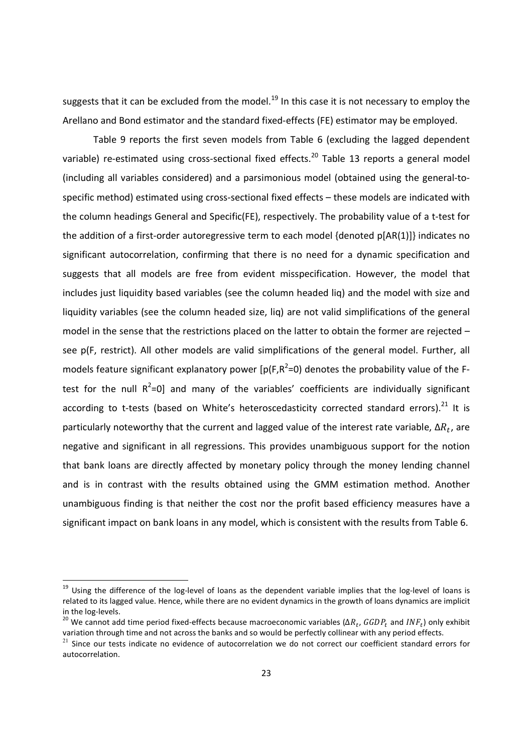suggests that it can be excluded from the model.<sup>19</sup> In this case it is not necessary to employ the Arellano and Bond estimator and the standard fixed-effects (FE) estimator may be employed.

Table 9 reports the first seven models from Table 6 (excluding the lagged dependent variable) re-estimated using cross-sectional fixed effects.<sup>20</sup> Table 13 reports a general model (including all variables considered) and a parsimonious model (obtained using the general-tospecific method) estimated using cross-sectional fixed effects – these models are indicated with the column headings General and Specific(FE), respectively. The probability value of a t-test for the addition of a first-order autoregressive term to each model {denoted p[AR(1)]} indicates no significant autocorrelation, confirming that there is no need for a dynamic specification and suggests that all models are free from evident misspecification. However, the model that includes just liquidity based variables (see the column headed liq) and the model with size and liquidity variables (see the column headed size, liq) are not valid simplifications of the general model in the sense that the restrictions placed on the latter to obtain the former are rejected – see p(F, restrict). All other models are valid simplifications of the general model. Further, all models feature significant explanatory power [p(F,R<sup>2</sup>=0) denotes the probability value of the Ftest for the null  $R^2=0$ ] and many of the variables' coefficients are individually significant according to t-tests (based on White's heteroscedasticity corrected standard errors). $^{21}$  It is particularly noteworthy that the current and lagged value of the interest rate variable,  $\Delta R_t$ , are negative and significant in all regressions. This provides unambiguous support for the notion that bank loans are directly affected by monetary policy through the money lending channel and is in contrast with the results obtained using the GMM estimation method. Another unambiguous finding is that neither the cost nor the profit based efficiency measures have a significant impact on bank loans in any model, which is consistent with the results from Table 6.

<sup>&</sup>lt;sup>19</sup> Using the difference of the log-level of loans as the dependent variable implies that the log-level of loans is related to its lagged value. Hence, while there are no evident dynamics in the growth of loans dynamics are implicit in the log-levels.

<sup>&</sup>lt;sup>20</sup> We cannot add time period fixed-effects because macroeconomic variables (Δ $R_t$ , GGDP<sub>t</sub> and INF<sub>t</sub>) only exhibit variation through time and not across the banks and so would be perfectly collinear with any period effects.

<sup>&</sup>lt;sup>21</sup> Since our tests indicate no evidence of autocorrelation we do not correct our coefficient standard errors for autocorrelation.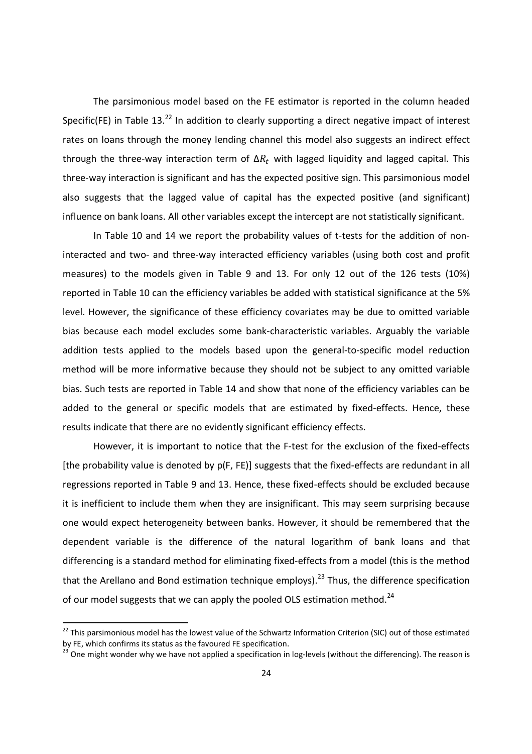The parsimonious model based on the FE estimator is reported in the column headed Specific(FE) in Table  $13.<sup>22</sup>$  In addition to clearly supporting a direct negative impact of interest rates on loans through the money lending channel this model also suggests an indirect effect through the three-way interaction term of  $\Delta R_t$  with lagged liquidity and lagged capital. This three-way interaction is significant and has the expected positive sign. This parsimonious model also suggests that the lagged value of capital has the expected positive (and significant) influence on bank loans. All other variables except the intercept are not statistically significant.

In Table 10 and 14 we report the probability values of t-tests for the addition of noninteracted and two- and three-way interacted efficiency variables (using both cost and profit measures) to the models given in Table 9 and 13. For only 12 out of the 126 tests (10%) reported in Table 10 can the efficiency variables be added with statistical significance at the 5% level. However, the significance of these efficiency covariates may be due to omitted variable bias because each model excludes some bank-characteristic variables. Arguably the variable addition tests applied to the models based upon the general-to-specific model reduction method will be more informative because they should not be subject to any omitted variable bias. Such tests are reported in Table 14 and show that none of the efficiency variables can be added to the general or specific models that are estimated by fixed-effects. Hence, these results indicate that there are no evidently significant efficiency effects.

However, it is important to notice that the F-test for the exclusion of the fixed-effects [the probability value is denoted by p(F, FE)] suggests that the fixed-effects are redundant in all regressions reported in Table 9 and 13. Hence, these fixed-effects should be excluded because it is inefficient to include them when they are insignificant. This may seem surprising because one would expect heterogeneity between banks. However, it should be remembered that the dependent variable is the difference of the natural logarithm of bank loans and that differencing is a standard method for eliminating fixed-effects from a model (this is the method that the Arellano and Bond estimation technique employs).<sup>23</sup> Thus, the difference specification of our model suggests that we can apply the pooled OLS estimation method.<sup>24</sup>

 $^{22}$  This parsimonious model has the lowest value of the Schwartz Information Criterion (SIC) out of those estimated by FE, which confirms its status as the favoured FE specification.

<sup>23</sup> One might wonder why we have not applied a specification in log-levels (without the differencing). The reason is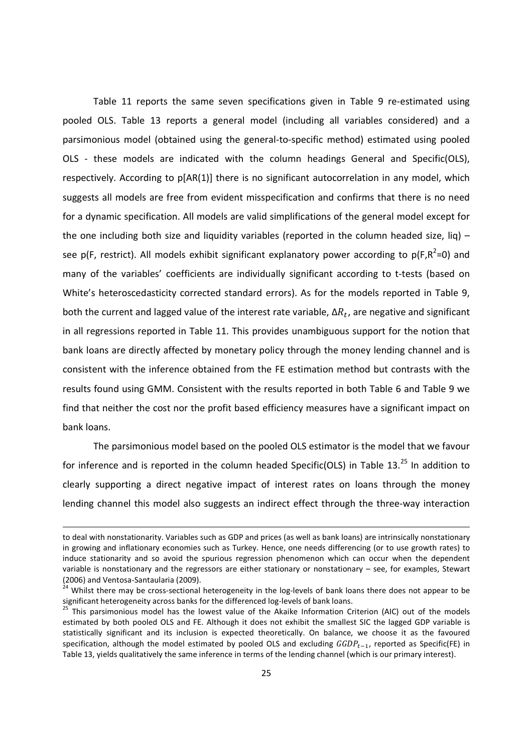Table 11 reports the same seven specifications given in Table 9 re-estimated using pooled OLS. Table 13 reports a general model (including all variables considered) and a parsimonious model (obtained using the general-to-specific method) estimated using pooled OLS - these models are indicated with the column headings General and Specific(OLS), respectively. According to p[AR(1)] there is no significant autocorrelation in any model, which suggests all models are free from evident misspecification and confirms that there is no need for a dynamic specification. All models are valid simplifications of the general model except for the one including both size and liquidity variables (reported in the column headed size, liq) see p(F, restrict). All models exhibit significant explanatory power according to p(F,R<sup>2</sup>=0) and many of the variables' coefficients are individually significant according to t-tests (based on White's heteroscedasticity corrected standard errors). As for the models reported in Table 9, both the current and lagged value of the interest rate variable,  $\Delta R_t$ , are negative and significant in all regressions reported in Table 11. This provides unambiguous support for the notion that bank loans are directly affected by monetary policy through the money lending channel and is consistent with the inference obtained from the FE estimation method but contrasts with the results found using GMM. Consistent with the results reported in both Table 6 and Table 9 we find that neither the cost nor the profit based efficiency measures have a significant impact on bank loans.

The parsimonious model based on the pooled OLS estimator is the model that we favour for inference and is reported in the column headed Specific(OLS) in Table 13.<sup>25</sup> In addition to clearly supporting a direct negative impact of interest rates on loans through the money lending channel this model also suggests an indirect effect through the three-way interaction

to deal with nonstationarity. Variables such as GDP and prices (as well as bank loans) are intrinsically nonstationary in growing and inflationary economies such as Turkey. Hence, one needs differencing (or to use growth rates) to induce stationarity and so avoid the spurious regression phenomenon which can occur when the dependent variable is nonstationary and the regressors are either stationary or nonstationary – see, for examples, Stewart (2006) and Ventosa-Santaularia (2009).

<sup>&</sup>lt;sup>24</sup> Whilst there may be cross-sectional heterogeneity in the log-levels of bank loans there does not appear to be significant heterogeneity across banks for the differenced log-levels of bank loans.

<sup>&</sup>lt;sup>25</sup> This parsimonious model has the lowest value of the Akaike Information Criterion (AIC) out of the models estimated by both pooled OLS and FE. Although it does not exhibit the smallest SIC the lagged GDP variable is statistically significant and its inclusion is expected theoretically. On balance, we choose it as the favoured specification, although the model estimated by pooled OLS and excluding  $GGDP_{t-1}$ , reported as Specific(FE) in Table 13, yields qualitatively the same inference in terms of the lending channel (which is our primary interest).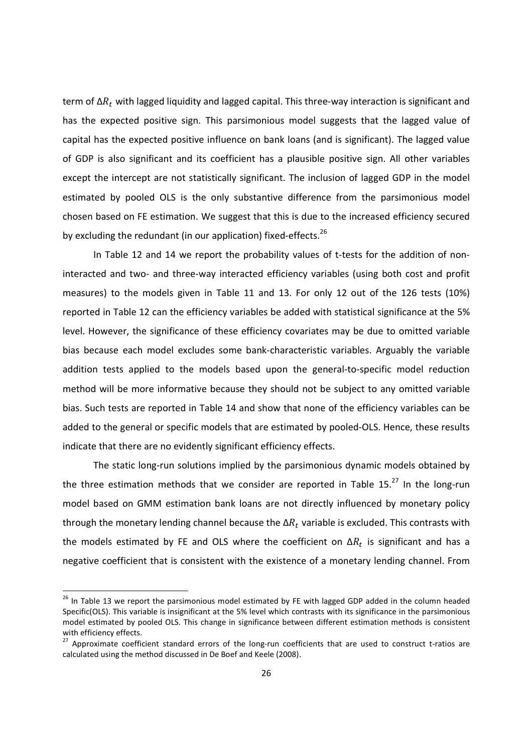term of Δ $R_t$  with lagged liquidity and lagged capital. This three-way interaction is significant and has the expected positive sign. This parsimonious model suggests that the lagged value of capital has the expected positive influence on bank loans (and is significant). The lagged value of GDP is also significant and its coefficient has a plausible positive sign. All other variables except the intercept are not statistically significant. The inclusion of lagged GDP in the model estimated by pooled OLS is the only substantive difference from the parsimonious model chosen based on FE estimation. We suggest that this is due to the increased efficiency secured by excluding the redundant (in our application) fixed-effects.<sup>26</sup>

In Table 12 and 14 we report the probability values of t-tests for the addition of noninteracted and two- and three-way interacted efficiency variables (using both cost and profit measures) to the models given in Table 11 and 13. For only 12 out of the 126 tests (10%) reported in Table 12 can the efficiency variables be added with statistical significance at the 5% level. However, the significance of these efficiency covariates may be due to omitted variable bias because each model excludes some bank-characteristic variables. Arguably the variable addition tests applied to the models based upon the general-to-specific model reduction method will be more informative because they should not be subject to any omitted variable bias. Such tests are reported in Table 14 and show that none of the efficiency variables can be added to the general or specific models that are estimated by pooled-OLS. Hence, these results indicate that there are no evidently significant efficiency effects.

The static long-run solutions implied by the parsimonious dynamic models obtained by the three estimation methods that we consider are reported in Table  $15.<sup>27</sup>$  In the long-run model based on GMM estimation bank loans are not directly influenced by monetary policy through the monetary lending channel because the  $\Delta R_t$  variable is excluded. This contrasts with the models estimated by FE and OLS where the coefficient on  $\Delta R_t$  is significant and has a negative coefficient that is consistent with the existence of a monetary lending channel. From

<sup>&</sup>lt;sup>26</sup> In Table 13 we report the parsimonious model estimated by FE with lagged GDP added in the column headed Specific(OLS). This variable is insignificant at the 5% level which contrasts with its significance in the parsimonious model estimated by pooled OLS. This change in significance between different estimation methods is consistent with efficiency effects.

<sup>&</sup>lt;sup>27</sup> Approximate coefficient standard errors of the long-run coefficients that are used to construct t-ratios are calculated using the method discussed in De Boef and Keele (2008).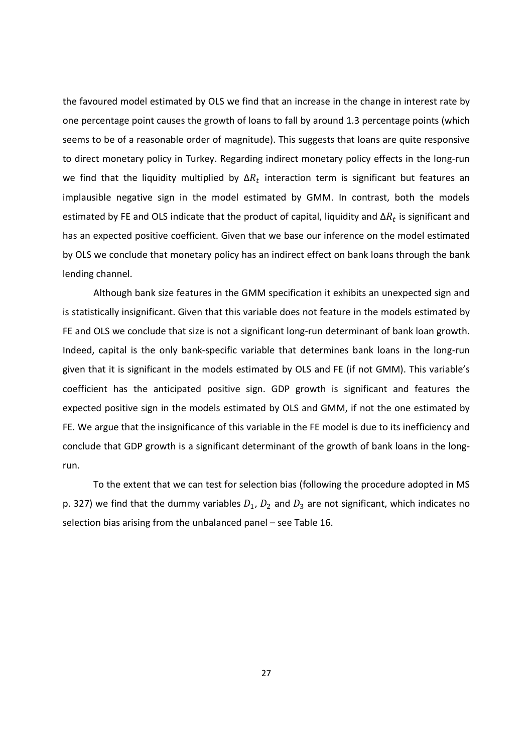the favoured model estimated by OLS we find that an increase in the change in interest rate by one percentage point causes the growth of loans to fall by around 1.3 percentage points (which seems to be of a reasonable order of magnitude). This suggests that loans are quite responsive to direct monetary policy in Turkey. Regarding indirect monetary policy effects in the long-run we find that the liquidity multiplied by  $\Delta R_t$  interaction term is significant but features an implausible negative sign in the model estimated by GMM. In contrast, both the models estimated by FE and OLS indicate that the product of capital, liquidity and  $\Delta R_t$  is significant and has an expected positive coefficient. Given that we base our inference on the model estimated by OLS we conclude that monetary policy has an indirect effect on bank loans through the bank lending channel.

Although bank size features in the GMM specification it exhibits an unexpected sign and is statistically insignificant. Given that this variable does not feature in the models estimated by FE and OLS we conclude that size is not a significant long-run determinant of bank loan growth. Indeed, capital is the only bank-specific variable that determines bank loans in the long-run given that it is significant in the models estimated by OLS and FE (if not GMM). This variable's coefficient has the anticipated positive sign. GDP growth is significant and features the expected positive sign in the models estimated by OLS and GMM, if not the one estimated by FE. We argue that the insignificance of this variable in the FE model is due to its inefficiency and conclude that GDP growth is a significant determinant of the growth of bank loans in the longrun.

To the extent that we can test for selection bias (following the procedure adopted in MS p. 327) we find that the dummy variables  $D_1$ ,  $D_2$  and  $D_3$  are not significant, which indicates no selection bias arising from the unbalanced panel – see Table 16.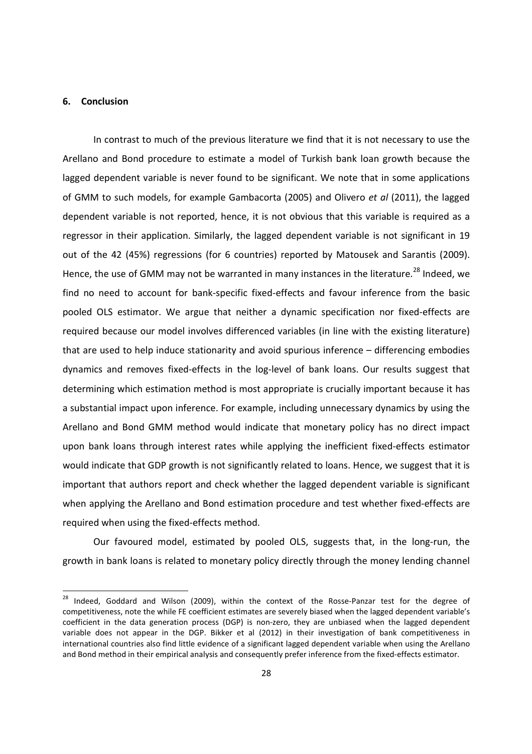## 6. Conclusion

<u>.</u>

In contrast to much of the previous literature we find that it is not necessary to use the Arellano and Bond procedure to estimate a model of Turkish bank loan growth because the lagged dependent variable is never found to be significant. We note that in some applications of GMM to such models, for example Gambacorta (2005) and Olivero et al (2011), the lagged dependent variable is not reported, hence, it is not obvious that this variable is required as a regressor in their application. Similarly, the lagged dependent variable is not significant in 19 out of the 42 (45%) regressions (for 6 countries) reported by Matousek and Sarantis (2009). Hence, the use of GMM may not be warranted in many instances in the literature.<sup>28</sup> Indeed, we find no need to account for bank-specific fixed-effects and favour inference from the basic pooled OLS estimator. We argue that neither a dynamic specification nor fixed-effects are required because our model involves differenced variables (in line with the existing literature) that are used to help induce stationarity and avoid spurious inference – differencing embodies dynamics and removes fixed-effects in the log-level of bank loans. Our results suggest that determining which estimation method is most appropriate is crucially important because it has a substantial impact upon inference. For example, including unnecessary dynamics by using the Arellano and Bond GMM method would indicate that monetary policy has no direct impact upon bank loans through interest rates while applying the inefficient fixed-effects estimator would indicate that GDP growth is not significantly related to loans. Hence, we suggest that it is important that authors report and check whether the lagged dependent variable is significant when applying the Arellano and Bond estimation procedure and test whether fixed-effects are required when using the fixed-effects method.

Our favoured model, estimated by pooled OLS, suggests that, in the long-run, the growth in bank loans is related to monetary policy directly through the money lending channel

<sup>&</sup>lt;sup>28</sup> Indeed, Goddard and Wilson (2009), within the context of the Rosse-Panzar test for the degree of competitiveness, note the while FE coefficient estimates are severely biased when the lagged dependent variable's coefficient in the data generation process (DGP) is non-zero, they are unbiased when the lagged dependent variable does not appear in the DGP. Bikker et al (2012) in their investigation of bank competitiveness in international countries also find little evidence of a significant lagged dependent variable when using the Arellano and Bond method in their empirical analysis and consequently prefer inference from the fixed-effects estimator.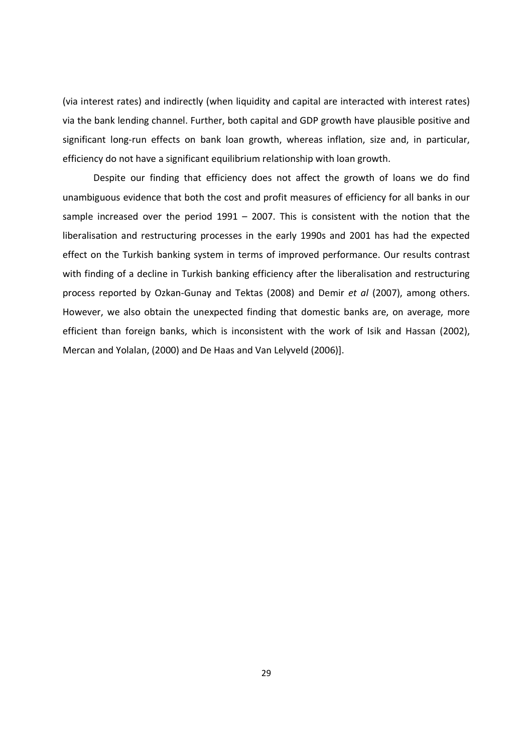(via interest rates) and indirectly (when liquidity and capital are interacted with interest rates) via the bank lending channel. Further, both capital and GDP growth have plausible positive and significant long-run effects on bank loan growth, whereas inflation, size and, in particular, efficiency do not have a significant equilibrium relationship with loan growth.

Despite our finding that efficiency does not affect the growth of loans we do find unambiguous evidence that both the cost and profit measures of efficiency for all banks in our sample increased over the period  $1991 - 2007$ . This is consistent with the notion that the liberalisation and restructuring processes in the early 1990s and 2001 has had the expected effect on the Turkish banking system in terms of improved performance. Our results contrast with finding of a decline in Turkish banking efficiency after the liberalisation and restructuring process reported by Ozkan-Gunay and Tektas (2008) and Demir et al (2007), among others. However, we also obtain the unexpected finding that domestic banks are, on average, more efficient than foreign banks, which is inconsistent with the work of Isik and Hassan (2002), Mercan and Yolalan, (2000) and De Haas and Van Lelyveld (2006)].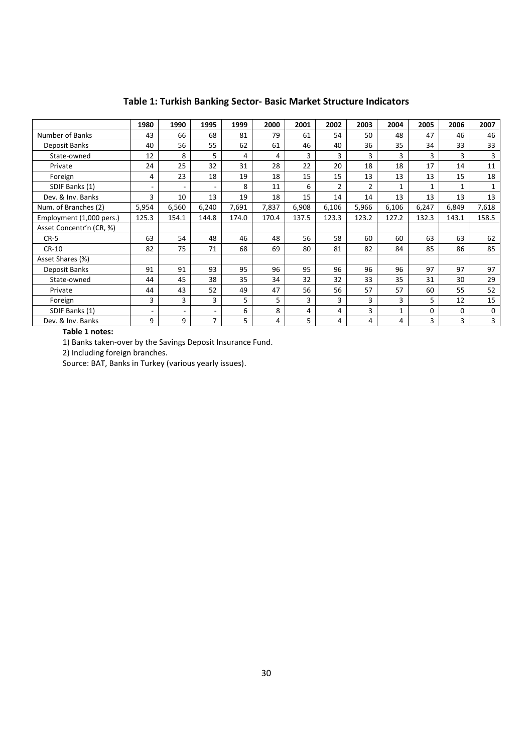|                          | 1980                     | 1990                     | 1995                     | 1999  | 2000  | 2001  | 2002           | 2003           | 2004         | 2005  | 2006         | 2007         |
|--------------------------|--------------------------|--------------------------|--------------------------|-------|-------|-------|----------------|----------------|--------------|-------|--------------|--------------|
| Number of Banks          | 43                       | 66                       | 68                       | 81    | 79    | 61    | 54             | 50             | 48           | 47    | 46           | 46           |
| Deposit Banks            | 40                       | 56                       | 55                       | 62    | 61    | 46    | 40             | 36             | 35           | 34    | 33           | 33           |
| State-owned              | 12                       | 8                        | 5                        | 4     | 4     | 3     | 3              | 3              | 3            | 3     | 3            | 3            |
| Private                  | 24                       | 25                       | 32                       | 31    | 28    | 22    | 20             | 18             | 18           | 17    | 14           | 11           |
| Foreign                  | 4                        | 23                       | 18                       | 19    | 18    | 15    | 15             | 13             | 13           | 13    | 15           | 18           |
| SDIF Banks (1)           | $\overline{\phantom{a}}$ | $\overline{\phantom{a}}$ | $\overline{\phantom{a}}$ | 8     | 11    | 6     | $\overline{2}$ | $\overline{2}$ | $\mathbf{1}$ | 1     | $\mathbf{1}$ | $\mathbf{1}$ |
| Dev. & Inv. Banks        | 3                        | 10                       | 13                       | 19    | 18    | 15    | 14             | 14             | 13           | 13    | 13           | 13           |
| Num. of Branches (2)     | 5,954                    | 6,560                    | 6,240                    | 7,691 | 7,837 | 6,908 | 6,106          | 5,966          | 6,106        | 6,247 | 6,849        | 7,618        |
| Employment (1,000 pers.) | 125.3                    | 154.1                    | 144.8                    | 174.0 | 170.4 | 137.5 | 123.3          | 123.2          | 127.2        | 132.3 | 143.1        | 158.5        |
| Asset Concentr'n (CR, %) |                          |                          |                          |       |       |       |                |                |              |       |              |              |
| $CR-5$                   | 63                       | 54                       | 48                       | 46    | 48    | 56    | 58             | 60             | 60           | 63    | 63           | 62           |
| CR-10                    | 82                       | 75                       | 71                       | 68    | 69    | 80    | 81             | 82             | 84           | 85    | 86           | 85           |
| Asset Shares (%)         |                          |                          |                          |       |       |       |                |                |              |       |              |              |
| Deposit Banks            | 91                       | 91                       | 93                       | 95    | 96    | 95    | 96             | 96             | 96           | 97    | 97           | 97           |
| State-owned              | 44                       | 45                       | 38                       | 35    | 34    | 32    | 32             | 33             | 35           | 31    | 30           | 29           |
| Private                  | 44                       | 43                       | 52                       | 49    | 47    | 56    | 56             | 57             | 57           | 60    | 55           | 52           |
| Foreign                  | 3                        | 3                        | 3                        | 5     | 5     | 3     | 3              | 3              | 3            | 5     | 12           | 15           |
| SDIF Banks (1)           | $\overline{\phantom{a}}$ | $\overline{\phantom{a}}$ | $\overline{\phantom{a}}$ | 6     | 8     | 4     | 4              | 3              | 1            | 0     | 0            | 0            |
| Dev. & Inv. Banks        | 9                        | 9                        | $\overline{7}$           | 5     | 4     | 5     | 4              | 4              | 4            | 3     | 3            | 3            |

# Table 1: Turkish Banking Sector- Basic Market Structure Indicators

#### Table 1 notes:

1) Banks taken-over by the Savings Deposit Insurance Fund.

2) Including foreign branches.

Source: BAT, Banks in Turkey (various yearly issues).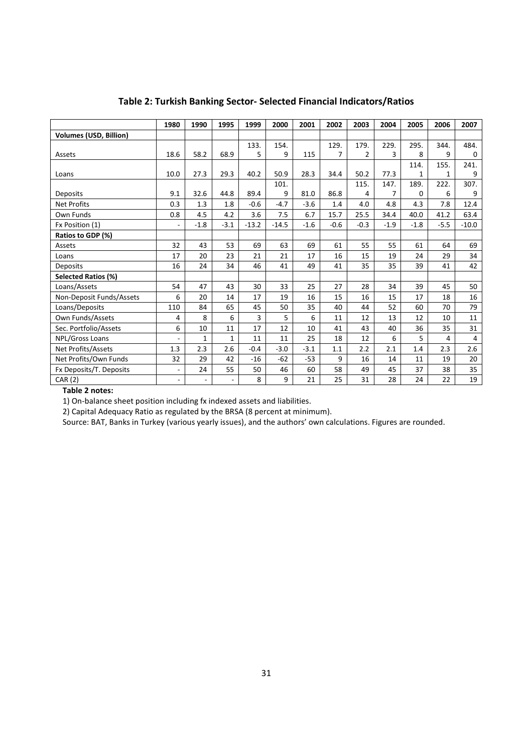|                               | 1980                     | 1990                     | 1995         | 1999    | 2000    | 2001   | 2002   | 2003   | 2004   | 2005   | 2006   | 2007    |
|-------------------------------|--------------------------|--------------------------|--------------|---------|---------|--------|--------|--------|--------|--------|--------|---------|
| <b>Volumes (USD, Billion)</b> |                          |                          |              |         |         |        |        |        |        |        |        |         |
|                               |                          |                          |              | 133.    | 154.    |        | 129.   | 179.   | 229.   | 295.   | 344.   | 484.    |
| Assets                        | 18.6                     | 58.2                     | 68.9         | 5       | 9       | 115    | 7      | 2      | 3      | 8      | 9      | 0       |
|                               |                          |                          |              |         |         |        |        |        |        | 114.   | 155.   | 241.    |
| Loans                         | 10.0                     | 27.3                     | 29.3         | 40.2    | 50.9    | 28.3   | 34.4   | 50.2   | 77.3   | 1      | 1      | 9       |
|                               |                          |                          |              |         | 101.    |        |        | 115.   | 147.   | 189.   | 222.   | 307.    |
| Deposits                      | 9.1                      | 32.6                     | 44.8         | 89.4    | 9       | 81.0   | 86.8   | 4      | 7      | 0      | 6      | 9       |
| <b>Net Profits</b>            | 0.3                      | 1.3                      | 1.8          | $-0.6$  | $-4.7$  | $-3.6$ | 1.4    | 4.0    | 4.8    | 4.3    | 7.8    | 12.4    |
| Own Funds                     | 0.8                      | 4.5                      | 4.2          | 3.6     | 7.5     | 6.7    | 15.7   | 25.5   | 34.4   | 40.0   | 41.2   | 63.4    |
| Fx Position (1)               | ÷,                       | $-1.8$                   | $-3.1$       | $-13.2$ | $-14.5$ | $-1.6$ | $-0.6$ | $-0.3$ | $-1.9$ | $-1.8$ | $-5.5$ | $-10.0$ |
| Ratios to GDP (%)             |                          |                          |              |         |         |        |        |        |        |        |        |         |
| Assets                        | 32                       | 43                       | 53           | 69      | 63      | 69     | 61     | 55     | 55     | 61     | 64     | 69      |
| Loans                         | 17                       | 20                       | 23           | 21      | 21      | 17     | 16     | 15     | 19     | 24     | 29     | 34      |
| Deposits                      | 16                       | 24                       | 34           | 46      | 41      | 49     | 41     | 35     | 35     | 39     | 41     | 42      |
| Selected Ratios (%)           |                          |                          |              |         |         |        |        |        |        |        |        |         |
| Loans/Assets                  | 54                       | 47                       | 43           | 30      | 33      | 25     | 27     | 28     | 34     | 39     | 45     | 50      |
| Non-Deposit Funds/Assets      | 6                        | 20                       | 14           | 17      | 19      | 16     | 15     | 16     | 15     | 17     | 18     | 16      |
| Loans/Deposits                | 110                      | 84                       | 65           | 45      | 50      | 35     | 40     | 44     | 52     | 60     | 70     | 79      |
| Own Funds/Assets              | 4                        | 8                        | 6            | 3       | 5       | 6      | 11     | 12     | 13     | 12     | 10     | 11      |
| Sec. Portfolio/Assets         | 6                        | 10                       | 11           | 17      | 12      | 10     | 41     | 43     | 40     | 36     | 35     | 31      |
| NPL/Gross Loans               | $\overline{a}$           | $\mathbf{1}$             | $\mathbf{1}$ | 11      | 11      | 25     | 18     | 12     | 6      | 5      | 4      | 4       |
| Net Profits/Assets            | 1.3                      | 2.3                      | 2.6          | $-0.4$  | $-3.0$  | $-3.1$ | 1.1    | 2.2    | 2.1    | 1.4    | 2.3    | 2.6     |
| Net Profits/Own Funds         | 32                       | 29                       | 42           | $-16$   | $-62$   | $-53$  | 9      | 16     | 14     | 11     | 19     | 20      |
| Fx Deposits/T. Deposits       | $\overline{\phantom{a}}$ | 24                       | 55           | 50      | 46      | 60     | 58     | 49     | 45     | 37     | 38     | 35      |
| CAR (2)                       | $\overline{\phantom{a}}$ | $\overline{\phantom{a}}$ |              | 8       | 9       | 21     | 25     | 31     | 28     | 24     | 22     | 19      |

# Table 2: Turkish Banking Sector- Selected Financial Indicators/Ratios

Table 2 notes:

1) On-balance sheet position including fx indexed assets and liabilities.

2) Capital Adequacy Ratio as regulated by the BRSA (8 percent at minimum).

Source: BAT, Banks in Turkey (various yearly issues), and the authors' own calculations. Figures are rounded.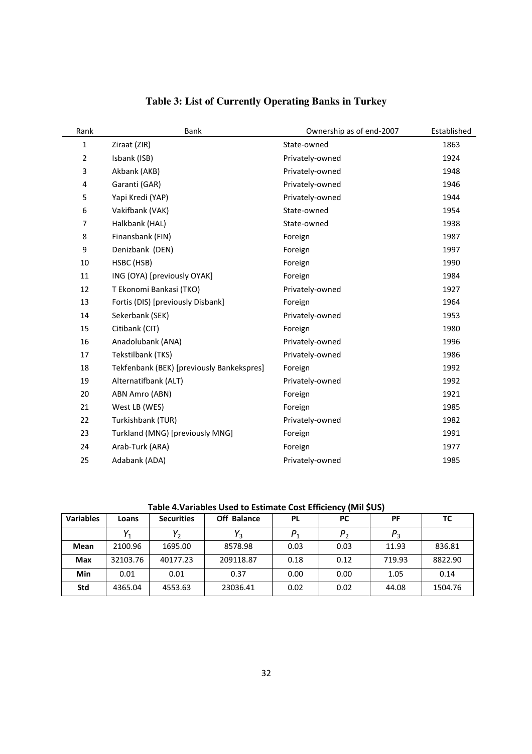| Rank           | Bank                                      | Ownership as of end-2007 | Established |
|----------------|-------------------------------------------|--------------------------|-------------|
| 1              | Ziraat (ZIR)                              | State-owned              | 1863        |
| $\overline{2}$ | Isbank (ISB)                              | Privately-owned          | 1924        |
| 3              | Akbank (AKB)                              | Privately-owned          | 1948        |
| 4              | Garanti (GAR)                             | Privately-owned          | 1946        |
| 5              | Yapi Kredi (YAP)                          | Privately-owned          | 1944        |
| $\,6\,$        | Vakifbank (VAK)                           | State-owned              | 1954        |
| $\overline{7}$ | Halkbank (HAL)                            | State-owned              | 1938        |
| 8              | Finansbank (FIN)                          | Foreign                  | 1987        |
| 9              | Denizbank (DEN)                           | Foreign                  | 1997        |
| 10             | HSBC (HSB)                                | Foreign                  | 1990        |
| 11             | ING (OYA) [previously OYAK]               | Foreign                  | 1984        |
| 12             | T Ekonomi Bankasi (TKO)                   | Privately-owned          | 1927        |
| 13             | Fortis (DIS) [previously Disbank]         | Foreign                  | 1964        |
| 14             | Sekerbank (SEK)                           | Privately-owned          | 1953        |
| 15             | Citibank (CIT)                            | Foreign                  | 1980        |
| 16             | Anadolubank (ANA)                         | Privately-owned          | 1996        |
| 17             | Tekstilbank (TKS)                         | Privately-owned          | 1986        |
| 18             | Tekfenbank (BEK) [previously Bankekspres] | Foreign                  | 1992        |
| 19             | Alternatifbank (ALT)                      | Privately-owned          | 1992        |
| 20             | ABN Amro (ABN)                            | Foreign                  | 1921        |
| 21             | West LB (WES)                             | Foreign                  | 1985        |
| 22             | Turkishbank (TUR)                         | Privately-owned          | 1982        |
| 23             | Turkland (MNG) [previously MNG]           | Foreign                  | 1991        |
| 24             | Arab-Turk (ARA)                           | Foreign                  | 1977        |
| 25             | Adabank (ADA)                             | Privately-owned          | 1985        |

# **Table 3: List of Currently Operating Banks in Turkey**

# Table 4.Variables Used to Estimate Cost Efficiency (Mil \$US)

| <b>Variables</b> | Loans    | <b>Securities</b> | <b>Off Balance</b> | <b>PL</b> | <b>PC</b> | PF      | тс      |
|------------------|----------|-------------------|--------------------|-----------|-----------|---------|---------|
|                  |          |                   |                    | $P_1$     |           | $P_{3}$ |         |
| Mean             | 2100.96  | 1695.00           | 8578.98            | 0.03      | 0.03      | 11.93   | 836.81  |
| Max              | 32103.76 | 40177.23          | 209118.87          | 0.18      | 0.12      | 719.93  | 8822.90 |
| Min              | 0.01     | 0.01              | 0.37               | 0.00      | 0.00      | 1.05    | 0.14    |
| <b>Std</b>       | 4365.04  | 4553.63           | 23036.41           | 0.02      | 0.02      | 44.08   | 1504.76 |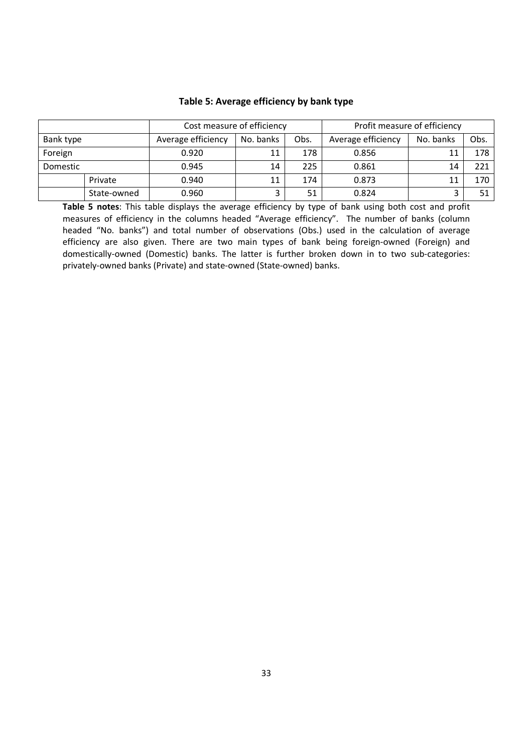|           |             | Cost measure of efficiency |           |      | Profit measure of efficiency |           |      |  |  |
|-----------|-------------|----------------------------|-----------|------|------------------------------|-----------|------|--|--|
| Bank type |             | Average efficiency         | No. banks | Obs. | Average efficiency           | No. banks | Obs. |  |  |
| Foreign   |             | 0.920                      | 11        | 178  | 0.856                        | 11        | 178  |  |  |
| Domestic  |             | 0.945                      | 14        | 225  | 0.861                        | 14        | 221  |  |  |
|           | Private     | 0.940                      | 11        | 174  | 0.873                        | 11        | 170  |  |  |
|           | State-owned | 0.960                      |           | 51   | 0.824                        | ำ         | 51   |  |  |

## Table 5: Average efficiency by bank type

Table 5 notes: This table displays the average efficiency by type of bank using both cost and profit measures of efficiency in the columns headed "Average efficiency". The number of banks (column headed "No. banks") and total number of observations (Obs.) used in the calculation of average efficiency are also given. There are two main types of bank being foreign-owned (Foreign) and domestically-owned (Domestic) banks. The latter is further broken down in to two sub-categories: privately-owned banks (Private) and state-owned (State-owned) banks.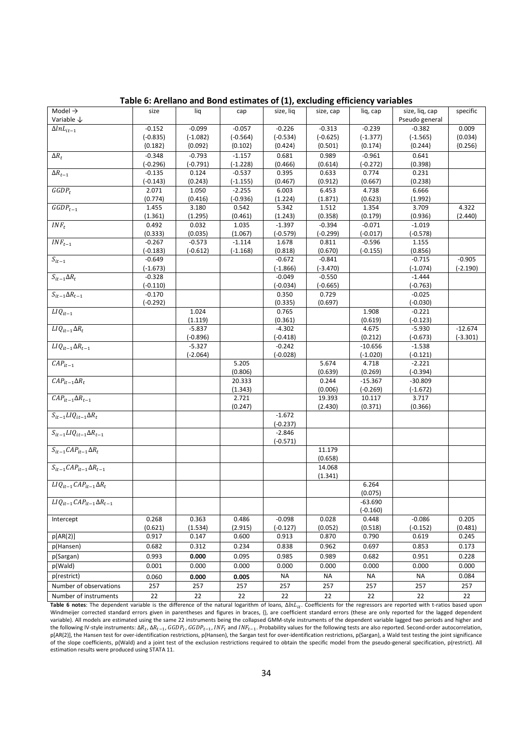| Model $\rightarrow$                             | size                   | liq        | cap        | size, liq              | size, cap           | liq, cap   | size, liq, cap         | specific   |
|-------------------------------------------------|------------------------|------------|------------|------------------------|---------------------|------------|------------------------|------------|
| Variable $\downarrow$                           |                        |            |            |                        |                     |            | Pseudo general         |            |
| $\Delta lnL_{it-1}$                             | $-0.152$               | $-0.099$   | $-0.057$   | $-0.226$               | $-0.313$            | $-0.239$   | $-0.382$               | 0.009      |
|                                                 | $(-0.835)$             | $(-1.082)$ | $(-0.564)$ | $(-0.534)$             | $(-0.625)$          | $(-1.377)$ | $(-1.565)$             | (0.034)    |
|                                                 | ${0.182}$              | ${0.092}$  | ${0.102}$  | ${0.424}$              | ${0.501}$           | ${0.174}$  | ${0.244}$              | ${0.256}$  |
| $\Delta R_t$                                    | $-0.348$               | $-0.793$   | $-1.157$   | 0.681                  | 0.989               | $-0.961$   | 0.641                  |            |
|                                                 | $(-0.296)$             | $(-0.791)$ | $(-1.228)$ | (0.466)                | (0.614)             | $(-0.272)$ | (0.398)                |            |
| $\Delta R_{t-1}$                                | $-0.135$               | 0.124      | $-0.537$   | 0.395                  | 0.633               | 0.774      | 0.231                  |            |
|                                                 | $(-0.143)$             | (0.243)    | $(-1.155)$ | (0.467)                | (0.912)             | (0.667)    | (0.238)                |            |
| $GGDP_t$                                        | 2.071                  | 1.050      | $-2.255$   | 6.003                  | 6.453               | 4.738      | 6.666                  |            |
|                                                 | (0.774)                | (0.416)    | $(-0.936)$ | (1.224)                | (1.871)             | (0.623)    | (1.992)                |            |
| $\overline{GGDP}_{t-1}$                         | 1.455                  | 3.180      | 0.542      | 5.342                  | 1.512               | 1.354      | 3.709                  | 4.322      |
|                                                 | (1.361)                | (1.295)    | (0.461)    | (1.243)                | (0.358)             | (0.179)    | (0.936)                | (2.440)    |
| $INF_t$                                         | 0.492                  | 0.032      | 1.035      | $-1.397$               | $-0.394$            | $-0.071$   | $-1.019$               |            |
|                                                 | (0.333)                | (0.035)    | (1.067)    | $(-0.579)$             | $(-0.299)$          | $(-0.017)$ | (-0.578)               |            |
| $INF_{t-1}$                                     | $-0.267$               | $-0.573$   | $-1.114$   | 1.678                  | 0.811               | $-0.596$   | 1.155                  |            |
|                                                 | $(-0.183)$             | $(-0.612)$ | $(-1.168)$ | (0.818)                | (0.670)             | $(-0.155)$ | (0.856)                |            |
| $S_{it-1}$                                      | $-0.649$               |            |            | $-0.672$               | $-0.841$            |            | $-0.715$               | $-0.905$   |
|                                                 | $(-1.673)$             |            |            | $(-1.866)$             | (-3.470)            |            | $(-1.074)$             | $(-2.190)$ |
| $S_{it-1} \Delta R_t$                           | $-0.328$               |            |            | $-0.049$<br>$(-0.034)$ | $-0.550$            |            | $-1.444$<br>$(-0.763)$ |            |
| $S_{it-1} \Delta R_{t-1}$                       | $(-0.110)$<br>$-0.170$ |            |            | 0.350                  | $(-0.665)$<br>0.729 |            | $-0.025$               |            |
|                                                 | $(-0.292)$             |            |            | (0.335)                | (0.697)             |            | $(-0.030)$             |            |
| $LIQ_{it-1}$                                    |                        | 1.024      |            | 0.765                  |                     | 1.908      | $-0.221$               |            |
|                                                 |                        | (1.119)    |            | (0.361)                |                     | (0.619)    | $(-0.123)$             |            |
| $LIQ_{it-1}\Delta R_t$                          |                        | $-5.837$   |            | $-4.302$               |                     | 4.675      | $-5.930$               | $-12.674$  |
|                                                 |                        | $(-0.896)$ |            | $(-0.418)$             |                     | (0.212)    | $(-0.673)$             | $(-3.301)$ |
| $LIQ_{it-1}\Delta R_{t-1}$                      |                        | $-5.327$   |            | $-0.242$               |                     | $-10.656$  | $-1.538$               |            |
|                                                 |                        | $(-2.064)$ |            | $(-0.028)$             |                     | $(-1.020)$ | $(-0.121)$             |            |
| $CAP_{it-1}$                                    |                        |            | 5.205      |                        | 5.674               | 4.718      | $-2.221$               |            |
|                                                 |                        |            | (0.806)    |                        | (0.639)             | (0.269)    | $(-0.394)$             |            |
| $CAP_{it-1}\Delta R_t$                          |                        |            | 20.333     |                        | 0.244               | $-15.367$  | $-30.809$              |            |
|                                                 |                        |            | (1.343)    |                        | (0.006)             | $(-0.269)$ | $(-1.672)$             |            |
| $\overline{CAP_{it-1}\Delta R_{t-1}}$           |                        |            | 2.721      |                        | 19.393              | 10.117     | 3.717                  |            |
|                                                 |                        |            | (0.247)    |                        | (2.430)             | (0.371)    | (0.366)                |            |
| $S_{it-1}LIQ_{it-1}\Delta R_t$                  |                        |            |            | $-1.672$               |                     |            |                        |            |
|                                                 |                        |            |            | $(-0.237)$             |                     |            |                        |            |
| $S_{it-1}LIQ_{it-1}\Delta R_{t-1}$              |                        |            |            | $-2.846$               |                     |            |                        |            |
|                                                 |                        |            |            | $(-0.571)$             |                     |            |                        |            |
| $S_{it-1}CAP_{it-1}\Delta R_t$                  |                        |            |            |                        | 11.179              |            |                        |            |
|                                                 |                        |            |            |                        | (0.658)             |            |                        |            |
| $S_{it-1}CAP_{it-1}\Delta R_{t-1}$              |                        |            |            |                        | 14.068              |            |                        |            |
|                                                 |                        |            |            |                        | (1.341)             |            |                        |            |
| $LIQ_{it-1}CAP_{it-1}\Delta R_t$                |                        |            |            |                        |                     | 6.264      |                        |            |
|                                                 |                        |            |            |                        |                     | (0.075)    |                        |            |
| $\overline{LIQ_{it-1}}CAP_{it-1}\Delta R_{t-1}$ |                        |            |            |                        |                     | $-63.690$  |                        |            |
|                                                 |                        |            |            |                        |                     | $(-0.160)$ |                        |            |
| Intercept                                       | 0.268                  | 0.363      | 0.486      | $-0.098$               | 0.028               | 0.448      | $-0.086$               | 0.205      |
|                                                 | (0.621)                | (1.534)    | (2.915)    | $(-0.127)$             | (0.052)             | (0.518)    | $(-0.152)$             | (0.481)    |
| p[AR(2)]                                        | 0.917                  | 0.147      | 0.600      | 0.913                  | 0.870               | 0.790      | 0.619                  | 0.245      |
| p(Hansen)                                       | 0.682                  | 0.312      | 0.234      | 0.838                  | 0.962               | 0.697      | 0.853                  | 0.173      |
| p(Sargan)                                       | 0.993                  | 0.000      | 0.095      | 0.985                  | 0.989               | 0.682      | 0.951                  | 0.228      |
| p(Wald)                                         | 0.001                  | 0.000      | 0.000      | 0.000                  | 0.000               | 0.000      | 0.000                  | 0.000      |
| p(restrict)                                     | 0.060                  | 0.000      | 0.005      | <b>NA</b>              | <b>NA</b>           | <b>NA</b>  | <b>NA</b>              | 0.084      |
| Number of observations                          | 257                    | 257        | 257        | 257                    | 257                 | 257        | 257                    | 257        |
| Number of instruments                           | 22                     | 22         | 22         | 22                     | 22                  | 22         | 22                     | 22         |
|                                                 |                        |            |            |                        |                     |            |                        |            |

Table 6: Arellano and Bond estimates of (1), excluding efficiency variables

Table 6 notes: The dependent variable is the difference of the natural logarithm of loans,  $\Delta ln L_{it}$ . Coefficients for the regressors are reported with t-ratios based upon Windmeijer corrected standard errors given in parentheses and figures in braces, {}, are coefficient standard errors (these are only reported for the lagged dependent variable). All models are estimated using the same 22 instruments being the collapsed GMM-style instruments of the dependent variable lagged two periods and higher and the following IV-style instruments:  $\Delta R_t$ ,  $\Delta R_{t-1}$ ,  $GDP_t$ ,  $GGP_{t-1}$ ,  $INF_t$  and  $INF_{t-1}$ . Probability values for the following tests are also reported. Second-order autocorrelation, p[AR(2)], the Hansen test for over-identification restrictions, p(Hansen), the Sargan test for over-identification restrictions, p(Sargan), a Wald test testing the joint significance of the slope coefficients, p(Wald) and a joint test of the exclusion restrictions required to obtain the specific model from the pseudo-general specification, p(restrict). All estimation results were produced using STATA 11.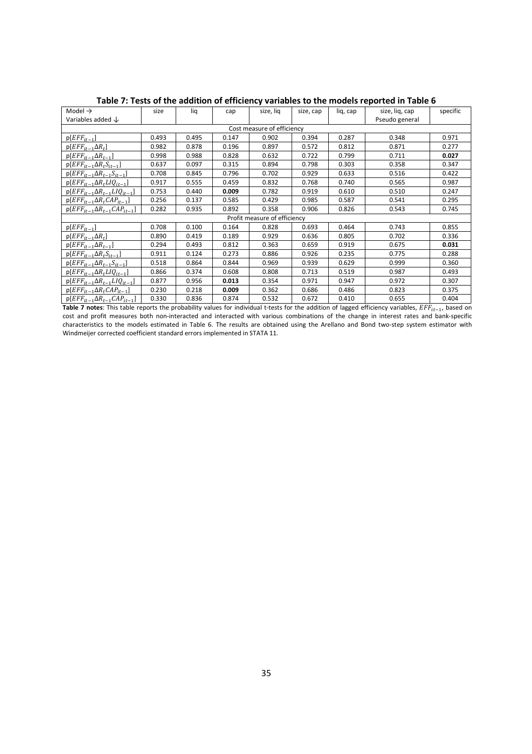| Model $\rightarrow$                                                | size  | liq   | cap   | size, liq                    | size, cap | lig, cap | size, lig, cap | specific |
|--------------------------------------------------------------------|-------|-------|-------|------------------------------|-----------|----------|----------------|----------|
| Variables added $\downarrow$                                       |       |       |       |                              |           |          | Pseudo general |          |
|                                                                    |       |       |       | Cost measure of efficiency   |           |          |                |          |
| $p[EFF_{it-1}]$                                                    | 0.493 | 0.495 | 0.147 | 0.902                        | 0.394     | 0.287    | 0.348          | 0.971    |
| $p[EFF_{it-1} \Delta R_t]$                                         | 0.982 | 0.878 | 0.196 | 0.897                        | 0.572     | 0.812    | 0.871          | 0.277    |
| $p[EFF_{it-1}\Delta R_{t-1}]$                                      | 0.998 | 0.988 | 0.828 | 0.632                        | 0.722     | 0.799    | 0.711          | 0.027    |
| $p[EFF_{it-1}\Delta R_tS_{it-1}]$                                  | 0.637 | 0.097 | 0.315 | 0.894                        | 0.798     | 0.303    | 0.358          | 0.347    |
| $p[EFF_{it-1} \Delta R_{t-1} S_{it-1}]$                            | 0.708 | 0.845 | 0.796 | 0.702                        | 0.929     | 0.633    | 0.516          | 0.422    |
| $p[EFF_{it-1} \Delta R_t LIQ_{it-1}]$                              | 0.917 | 0.555 | 0.459 | 0.832                        | 0.768     | 0.740    | 0.565          | 0.987    |
| $p[EFF_{it-1} \Delta R_{t-1} L I Q_{it-1}]$                        | 0.753 | 0.440 | 0.009 | 0.782                        | 0.919     | 0.610    | 0.510          | 0.247    |
| $p[EFF_{it-1}\Delta R_t CAP_{it-1}]$                               | 0.256 | 0.137 | 0.585 | 0.429                        | 0.985     | 0.587    | 0.541          | 0.295    |
| $p[EFF_{it-1} \Delta R_{t-1} CAP_{it-1}]$                          | 0.282 | 0.935 | 0.892 | 0.358                        | 0.906     | 0.826    | 0.543          | 0.745    |
|                                                                    |       |       |       | Profit measure of efficiency |           |          |                |          |
| $p[EFF_{it-1}]$                                                    | 0.708 | 0.100 | 0.164 | 0.828                        | 0.693     | 0.464    | 0.743          | 0.855    |
| $p[EFF_{it-1} \Delta R_t]$                                         | 0.890 | 0.419 | 0.189 | 0.929                        | 0.636     | 0.805    | 0.702          | 0.336    |
| $p[EFF_{it-1} \Delta R_{t-1}]$                                     | 0.294 | 0.493 | 0.812 | 0.363                        | 0.659     | 0.919    | 0.675          | 0.031    |
| $p[EFF_{it-1} \Delta R_t S_{it-1}]$                                | 0.911 | 0.124 | 0.273 | 0.886                        | 0.926     | 0.235    | 0.775          | 0.288    |
| $p[EF_{{\underline{t}}t-1} \Delta R_{t-1} S_{{\underline{t}}t-1}]$ | 0.518 | 0.864 | 0.844 | 0.969                        | 0.939     | 0.629    | 0.999          | 0.360    |
| $p[EFF_{it-1}\Delta R_tLIQ_{it-1}]$                                | 0.866 | 0.374 | 0.608 | 0.808                        | 0.713     | 0.519    | 0.987          | 0.493    |
| $p[EFF_{it-1} \Delta R_{t-1} L I Q_{it-1}]$                        | 0.877 | 0.956 | 0.013 | 0.354                        | 0.971     | 0.947    | 0.972          | 0.307    |
| $p[EFF_{it-1}\Delta R_t CAP_{it-1}]$                               | 0.230 | 0.218 | 0.009 | 0.362                        | 0.686     | 0.486    | 0.823          | 0.375    |
| $p[EFF_{it-1} \Delta R_{t-1} CAP_{it-1}]$                          | 0.330 | 0.836 | 0.874 | 0.532                        | 0.672     | 0.410    | 0.655          | 0.404    |

Table 7: Tests of the addition of efficiency variables to the models reported in Table 6

Table 7 notes: This table reports the probability values for individual t-tests for the addition of lagged efficiency variables,  $E\overline{F}_{lt-1}$ , based on cost and profit measures both non-interacted and interacted with various combinations of the change in interest rates and bank-specific characteristics to the models estimated in Table 6. The results are obtained using the Arellano and Bond two-step system estimator with Windmeijer corrected coefficient standard errors implemented in STATA 11.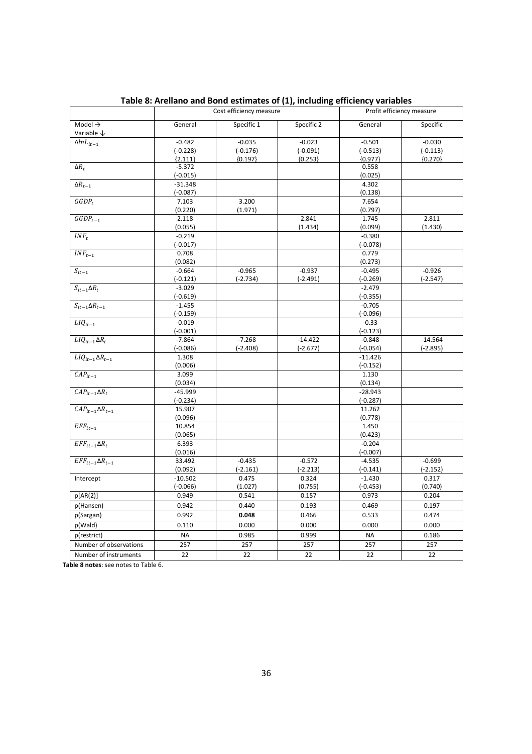|                                    |                        | Cost efficiency measure |            |                        | Profit efficiency measure |
|------------------------------------|------------------------|-------------------------|------------|------------------------|---------------------------|
| Model $\rightarrow$                | General                | Specific 1              | Specific 2 | General                | Specific                  |
| Variable $\downarrow$              |                        |                         |            |                        |                           |
| $\Delta lnL_{it-1}$                | $-0.482$               | $-0.035$                | $-0.023$   | $-0.501$               | $-0.030$                  |
|                                    | $(-0.228)$             | $(-0.176)$              | $(-0.091)$ | $(-0.513)$             | $(-0.113)$                |
|                                    | ${2.111}$              | ${0.197}$               | ${0.253}$  | ${0.977}$              | ${0.270}$                 |
| $\Delta R_t$                       | $-5.372$               |                         |            | 0.558                  |                           |
|                                    | $(-0.015)$             |                         |            | (0.025)                |                           |
| $\Delta R_{t-1}$                   | $-31.348$              |                         |            | 4.302                  |                           |
|                                    | $(-0.087)$             |                         |            | (0.138)                |                           |
| $GGDP_t$                           | 7.103                  | 3.200                   |            | 7.654                  |                           |
|                                    | (0.220)                | (1.971)                 |            | (0.797)                |                           |
| $GGDP_{t-1}$                       | 2.118                  |                         | 2.841      | 1.745                  | 2.811                     |
|                                    | (0.055)                |                         | (1.434)    | (0.099)                | (1.430)                   |
| $INF_t$                            | $-0.219$               |                         |            | $-0.380$               |                           |
|                                    | $(-0.017)$             |                         |            | $(-0.078)$             |                           |
| $INF_{t-1}$                        | 0.708                  |                         |            | 0.779                  |                           |
|                                    | (0.082)                |                         |            | (0.273)                |                           |
| $S_{it-1}$                         | $-0.664$               | $-0.965$                | $-0.937$   | $-0.495$               | $-0.926$                  |
| $S_{it-1} \Delta R_t$              | $(-0.121)$<br>$-3.029$ | $(-2.734)$              | $(-2.491)$ | $(-0.269)$<br>$-2.479$ | $(-2.547)$                |
|                                    | $(-0.619)$             |                         |            | $(-0.355)$             |                           |
| $S_{it-1} \Delta R_{t-1}$          | $-1.455$               |                         |            | $-0.705$               |                           |
|                                    | $(-0.159)$             |                         |            | $(-0.096)$             |                           |
| $LIQ_{it-1}$                       | $-0.019$               |                         |            | $-0.33$                |                           |
|                                    | $(-0.001)$             |                         |            | $(-0.123)$             |                           |
| $LIQ_{it-1}\Delta R_t$             | $-7.864$               | $-7.268$                | $-14.422$  | $-0.848$               | $-14.564$                 |
|                                    | $(-0.086)$             | $(-2.408)$              | $(-2.677)$ | $(-0.054)$             | $(-2.895)$                |
| $LIQ_{it-1}\Delta R_{t-1}$         | 1.308                  |                         |            | $-11.426$              |                           |
|                                    | (0.006)                |                         |            | $(-0.152)$             |                           |
| $CAP_{it-1}$                       | 3.099                  |                         |            | 1.130                  |                           |
|                                    | (0.034)                |                         |            | (0.134)                |                           |
| $\mathcal{C}AP_{it-1}\Delta R_t$   | $-45.999$              |                         |            | $-28.943$              |                           |
|                                    | $(-0.234)$             |                         |            | $(-0.287)$             |                           |
| $CAP_{it-1}\Delta R_{t-1}$         | 15.907                 |                         |            | 11.262                 |                           |
|                                    | (0.096)                |                         |            | (0.778)                |                           |
| $EFF_{it-1}$                       | 10.854                 |                         |            | 1.450                  |                           |
|                                    | (0.065)                |                         |            | (0.423)                |                           |
| $\overline{EFF_{it-1} \Delta R}_t$ | 6.393                  |                         |            | $-0.204$               |                           |
|                                    | (0.016)                |                         |            | $(-0.007)$             |                           |
| $EFF_{it-1}\Delta R_{t-1}$         | 33.492                 | $-0.435$                | $-0.572$   | $-4.535$               | $-0.699$                  |
|                                    | (0.092)                | $(-2.161)$              | $(-2.213)$ | $(-0.141)$             | $(-2.152)$                |
| Intercept                          | $-10.502$              | 0.475                   | 0.324      | $-1.430$               | 0.317                     |
|                                    | $(-0.066)$             | (1.027)                 | (0.755)    | $(-0.453)$             | (0.740)                   |
| p[AR(2)]                           | 0.949                  | 0.541                   | 0.157      | 0.973                  | 0.204                     |
| p(Hansen)                          | 0.942                  | 0.440                   | 0.193      | 0.469                  | 0.197                     |
| p(Sargan)                          | 0.992                  | 0.048                   | 0.466      | 0.533                  | 0.474                     |
| p(Wald)                            | 0.110                  | 0.000                   | 0.000      | 0.000                  | 0.000                     |
| p(restrict)                        | <b>NA</b>              | 0.985                   | 0.999      | <b>NA</b>              | 0.186                     |
| Number of observations             | 257                    | 257                     | 257        | 257                    | 257                       |
| Number of instruments              | 22                     | 22                      | 22         | 22                     | 22                        |
|                                    |                        |                         |            |                        |                           |

Table 8: Arellano and Bond estimates of (1), including efficiency variables

Table 8 notes: see notes to Table 6.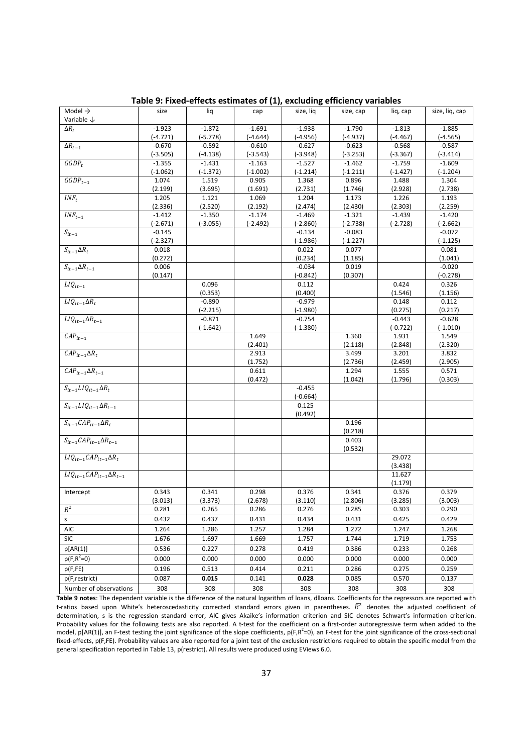| Model $\rightarrow$                  | size                   | liq                    | cap                 | size, lig              | size, cap         | liq, cap            | size, liq, cap         |
|--------------------------------------|------------------------|------------------------|---------------------|------------------------|-------------------|---------------------|------------------------|
| Variable ↓                           |                        |                        |                     |                        |                   |                     |                        |
| $\Delta R_t$                         | $-1.923$               | $-1.872$               | $-1.691$            | $-1.938$               | $-1.790$          | $-1.813$            | $-1.885$               |
|                                      | $(-4.721)$             | $(-5.778)$             | $(-4.644)$          | $(-4.956)$             | (-4.937)          | (-4.467)            | $(-4.565)$             |
| $\overline{\Delta R_{t-1}}$          | $-0.670$               | $-0.592$               | $-0.610$            | $-0.627$               | $-0.623$          | $-0.568$            | $-0.587$               |
| $GGDP_t$                             | $(-3.505)$             | $(-4.138)$             | $(-3.543)$          | $(-3.948)$             | $(-3.253)$        | $(-3.367)$          | $(-3.414)$             |
|                                      | $-1.355$<br>$(-1.062)$ | $-1.431$               | $-1.163$            | $-1.527$               | $-1.462$          | $-1.759$            | $-1.609$<br>$(-1.204)$ |
| $GGDP_{t-1}$                         | 1.074                  | $(-1.372)$<br>1.519    | $(-1.002)$<br>0.905 | $(-1.214)$<br>1.368    | (-1.211)<br>0.896 | $(-1.427)$<br>1.488 | 1.304                  |
|                                      | (2.199)                | (3.695)                | (1.691)             | (2.731)                | (1.746)           | (2.928)             | (2.738)                |
| $INF_t$                              | 1.205                  | 1.121                  | 1.069               | 1.204                  | 1.173             | 1.226               | 1.193                  |
|                                      | (2.336)                | (2.520)                | (2.192)             | (2.474)                | (2.430)           | (2.303)             | (2.259)                |
| $\it{INF}_{t-1}$                     | $-1.412$               | $-1.350$               | $-1.174$            | $-1.469$               | $-1.321$          | $-1.439$            | $-1.420$               |
|                                      | $(-2.671)$             | $(-3.055)$             | (-2.492)            | $(-2.860)$             | $(-2.738)$        | $(-2.728)$          | $(-2.662)$             |
| $\overline{S_{it-1}}$                | $-0.145$               |                        |                     | $-0.134$               | $-0.083$          |                     | $-0.072$               |
|                                      | (-2.327)               |                        |                     | $(-1.986)$             | $(-1.227)$        |                     | $(-1.125)$             |
| $S_{it-1} \Delta R_t$                | 0.018                  |                        |                     | 0.022                  | 0.077             |                     | 0.081                  |
|                                      | (0.272)                |                        |                     | (0.234)                | (1.185)           |                     | (1.041)                |
| $S_{it-1} \Delta R_{t-1}$            | 0.006                  |                        |                     | $-0.034$               | 0.019             |                     | $-0.020$               |
|                                      | (0.147)                |                        |                     | $(-0.842)$             | (0.307)           |                     | $(-0.278)$             |
| $LIQ_{it-1}$                         |                        | 0.096                  |                     | 0.112                  |                   | 0.424               | 0.326                  |
| $LIQ_{it-1}\Delta R_t$               |                        | (0.353)                |                     | (0.400)                |                   | (1.546)             | (1.156)<br>0.112       |
|                                      |                        | $-0.890$<br>$(-2.215)$ |                     | $-0.979$<br>$(-1.980)$ |                   | 0.148<br>(0.275)    | (0.217)                |
| $LIQ_{it-1}\Delta R_{t-1}$           |                        | $-0.871$               |                     | $-0.754$               |                   | $-0.443$            | $-0.628$               |
|                                      |                        | $(-1.642)$             |                     | $(-1.380)$             |                   | $(-0.722)$          | $(-1.010)$             |
| $CAP_{it-1}$                         |                        |                        | 1.649               |                        | 1.360             | 1.931               | 1.549                  |
|                                      |                        |                        | (2.401)             |                        | (2.118)           | (2.848)             | (2.320)                |
| $\overline{CAP_{it-1}\Delta R_t}$    |                        |                        | 2.913               |                        | 3.499             | 3.201               | 3.832                  |
|                                      |                        |                        | (1.752)             |                        | (2.736)           | (2.459)             | (2.905)                |
| $CAP_{it-1}\Delta R_{t-1}$           |                        |                        | 0.611               |                        | 1.294             | 1.555               | 0.571                  |
|                                      |                        |                        | (0.472)             |                        | (1.042)           | (1.796)             | (0.303)                |
| $S_{it-1}LIQ_{it-1}\Delta R_t$       |                        |                        |                     | $-0.455$               |                   |                     |                        |
|                                      |                        |                        |                     | $(-0.664)$             |                   |                     |                        |
| $S_{it-1}LIQ_{it-1}\Delta R_{t-1}$   |                        |                        |                     | 0.125                  |                   |                     |                        |
| $S_{it-1}CAP_{it-1}\Delta R_t$       |                        |                        |                     | (0.492)                | 0.196             |                     |                        |
|                                      |                        |                        |                     |                        | (0.218)           |                     |                        |
| $S_{it-1}CAP_{it-1}\Delta R_{t-1}$   |                        |                        |                     |                        | 0.403             |                     |                        |
|                                      |                        |                        |                     |                        | (0.532)           |                     |                        |
| $LIQ_{it-1}CAP_{it-1}\Delta R_t$     |                        |                        |                     |                        |                   | 29.072              |                        |
|                                      |                        |                        |                     |                        |                   | (3.438)             |                        |
| $LIQ_{it-1}CAP_{it-1}\Delta R_{t-1}$ |                        |                        |                     |                        |                   | 11.627              |                        |
|                                      |                        |                        |                     |                        |                   | (1.179)             |                        |
| Intercept                            | 0.343                  | 0.341                  | 0.298               | 0.376                  | 0.341             | 0.376               | 0.379                  |
|                                      | (3.013)                | (3.373)                | (2.678)             | (3.110)                | (2.806)           | (3.285)             | (3.003)                |
| $\bar{R}^2$                          | 0.281                  | 0.265                  | 0.286               | 0.276                  | 0.285             | 0.303               | 0.290                  |
| s                                    | 0.432                  | 0.437                  | 0.431               | 0.434                  | 0.431             | 0.425               | 0.429                  |
| AIC                                  | 1.264                  | 1.286                  | 1.257               | 1.284                  | 1.272             | 1.247               | 1.268                  |
| <b>SIC</b>                           | 1.676                  | 1.697                  | 1.669               | 1.757                  | 1.744             | 1.719               | 1.753                  |
| p[AR(1)]                             | 0.536                  | 0.227                  | 0.278               | 0.419                  | 0.386             | 0.233               | 0.268                  |
| $p(F,R^2=0)$                         | 0.000                  | 0.000                  | 0.000               | 0.000                  | 0.000             | 0.000               | 0.000                  |
| p(F, FE)                             | 0.196                  | 0.513                  | 0.414               | 0.211                  | 0.286             | 0.275               | 0.259                  |
| p(F,restrict)                        | 0.087                  | 0.015                  | 0.141               | 0.028                  | 0.085             | 0.570               | 0.137                  |
| Number of observations               | 308                    | 308                    | 308                 | 308                    | 308               | 308                 | 308                    |

Table 9: Fixed-effects estimates of (1), excluding efficiency variables

Table 9 notes: The dependent variable is the difference of the natural logarithm of loans, dlloans. Coefficients for the regressors are reported with t-ratios based upon White's heteroscedasticity corrected standard errors given in parentheses.  $\bar{R}^2$  denotes the adjusted coefficient of determination, s is the regression standard error, AIC gives Akaike's information criterion and SIC denotes Schwart's information criterion. Probability values for the following tests are also reported. A t-test for the coefficient on a first-order autoregressive term when added to the model,  $p[AR(1)]$ , an F-test testing the joint significance of the slope coefficients,  $p(F, R^2=0)$ , an F-test for the joint significance of the cross-sectional fixed-effects, p(F,FE). Probability values are also reported for a joint test of the exclusion restrictions required to obtain the specific model from the general specification reported in Table 13, p(restrict). All results were produced using EViews 6.0.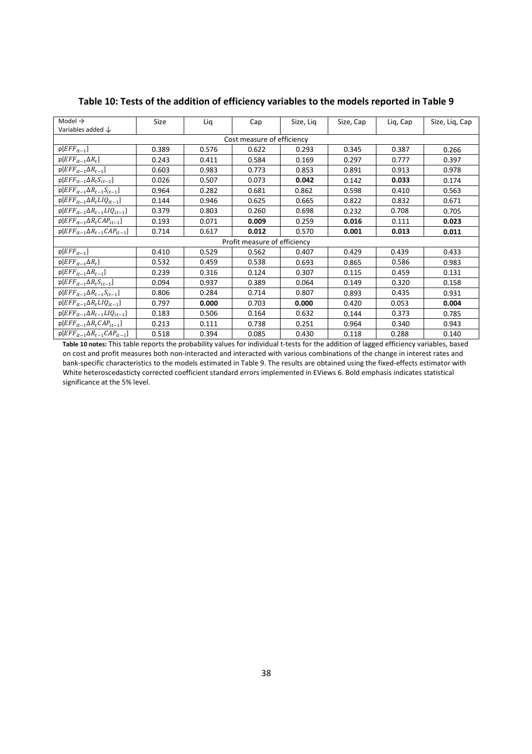| Model $\rightarrow$                         | Size  | Lig   | Cap                          | Size, Lig | Size, Cap | Lig, Cap | Size, Liq, Cap |
|---------------------------------------------|-------|-------|------------------------------|-----------|-----------|----------|----------------|
| Variables added $\downarrow$                |       |       |                              |           |           |          |                |
|                                             |       |       | Cost measure of efficiency   |           |           |          |                |
| $p[EFF_{it-1}]$                             | 0.389 | 0.576 | 0.622                        | 0.293     | 0.345     | 0.387    | 0.266          |
| $p[EFF_{it-1}\Delta R_t]$                   | 0.243 | 0.411 | 0.584                        | 0.169     | 0.297     | 0.777    | 0.397          |
| $p[EFF_{it-1} \Delta R_{t-1}]$              | 0.603 | 0.983 | 0.773                        | 0.853     | 0.891     | 0.913    | 0.978          |
| $p[EFF_{it-1} \Delta R_t S_{it-1}]$         | 0.026 | 0.507 | 0.073                        | 0.042     | 0.142     | 0.033    | 0.174          |
| $p[EFF_{it-1} \Delta R_{t-1} S_{it-1}]$     | 0.964 | 0.282 | 0.681                        | 0.862     | 0.598     | 0.410    | 0.563          |
| $p[EFF_{it-1}\Delta R_tLIQ_{it-1}]$         | 0.144 | 0.946 | 0.625                        | 0.665     | 0.822     | 0.832    | 0.671          |
| $p[EFF_{it-1} \Delta R_{t-1} L I Q_{it-1}]$ | 0.379 | 0.803 | 0.260                        | 0.698     | 0.232     | 0.708    | 0.705          |
| $p[EFF_{it-1}\Delta R_t CAP_{it-1}]$        | 0.193 | 0.071 | 0.009                        | 0.259     | 0.016     | 0.111    | 0.023          |
| $p[EFF_{it-1} \Delta R_{t-1} CAP_{it-1}]$   | 0.714 | 0.617 | 0.012                        | 0.570     | 0.001     | 0.013    | 0.011          |
|                                             |       |       | Profit measure of efficiency |           |           |          |                |
| $p[EFF_{it-1}]$                             | 0.410 | 0.529 | 0.562                        | 0.407     | 0.429     | 0.439    | 0.433          |
| $p[EFF_{it-1}\Delta R_t]$                   | 0.532 | 0.459 | 0.538                        | 0.693     | 0.865     | 0.586    | 0.983          |
| $p[EFF_{it-1} \Delta R_{t-1}]$              | 0.239 | 0.316 | 0.124                        | 0.307     | 0.115     | 0.459    | 0.131          |
| $p[EFF_{it-1} \Delta R_t S_{it-1}]$         | 0.094 | 0.937 | 0.389                        | 0.064     | 0.149     | 0.320    | 0.158          |
| $p[EFF_{it-1} \Delta R_{t-1} S_{it-1}]$     | 0.806 | 0.284 | 0.714                        | 0.807     | 0.893     | 0.435    | 0.931          |
| $p[EFF_{it-1}\Delta R_tLIQ_{it-1}]$         | 0.797 | 0.000 | 0.703                        | 0.000     | 0.420     | 0.053    | 0.004          |
| $p[EFF_{it-1} \Delta R_{t-1} L I Q_{it-1}]$ | 0.183 | 0.506 | 0.164                        | 0.632     | 0.144     | 0.373    | 0.785          |
| $p[EFF_{it-1}\Delta R_t CAP_{it-1}]$        | 0.213 | 0.111 | 0.738                        | 0.251     | 0.964     | 0.340    | 0.943          |
| $p[EFF_{it-1} \Delta R_{t-1} CAP_{it-1}]$   | 0.518 | 0.394 | 0.085                        | 0.430     | 0.118     | 0.288    | 0.140          |

## Table 10: Tests of the addition of efficiency variables to the models reported in Table 9

Table 10 notes: This table reports the probability values for individual t-tests for the addition of lagged efficiency variables, based on cost and profit measures both non-interacted and interacted with various combinations of the change in interest rates and bank-specific characteristics to the models estimated in Table 9. The results are obtained using the fixed-effects estimator with White heteroscedasticty corrected coefficient standard errors implemented in EViews 6. Bold emphasis indicates statistical significance at the 5% level.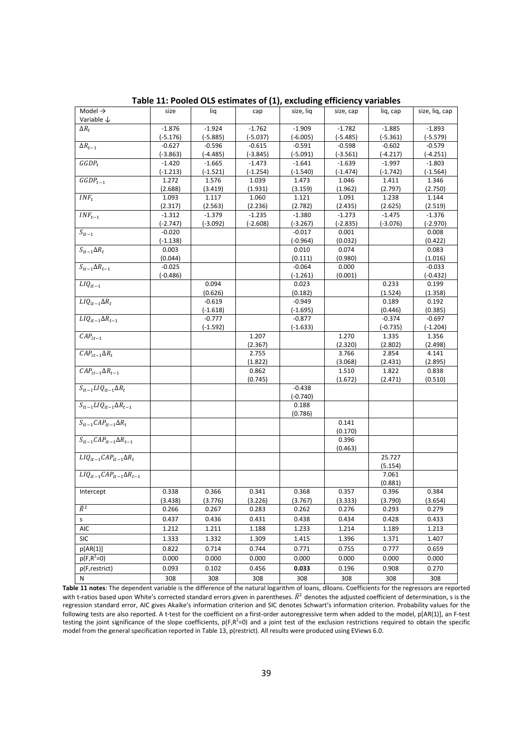| Model $\rightarrow$                  | size       | liq        | cap        | size, liq              | size, cap  | liq, cap            | size, liq, cap      |
|--------------------------------------|------------|------------|------------|------------------------|------------|---------------------|---------------------|
| Variable $\downarrow$                |            |            |            |                        |            |                     |                     |
| $\Delta R_t$                         | $-1.876$   | $-1.924$   | $-1.762$   | $-1.909$               | $-1.782$   | $-1.885$            | $-1.893$            |
|                                      | $(-5.176)$ | $(-5.885)$ | $(-5.037)$ | $(-6.005)$             | $(-5.485)$ | $(-5.361)$          | $(-5.579)$          |
| $\Delta R_{t-1}$                     | $-0.627$   | $-0.596$   | $-0.615$   | $-0.591$               | $-0.598$   | $-0.602$            | $-0.579$            |
|                                      | $(-3.863)$ | (-4.485)   | $(-3.845)$ | $(-5.091)$             | $(-3.561)$ | $(-4.217)$          | (-4.251)            |
| $GGDP_t$                             | $-1.420$   | $-1.665$   | $-1.473$   | $-1.641$               | $-1.639$   | $-1.997$            | $-1.803$            |
|                                      | $(-1.213)$ | $(-1.521)$ | (-1.254)   | $(-1.540)$             | $(-1.474)$ | (-1.742)            | $(-1.564)$          |
| $GGDP_{t-1}$                         | 1.272      | 1.576      | 1.039      | 1.473                  | 1.046      | 1.411               | 1.346               |
|                                      | (2.688)    | (3.419)    | (1.931)    | (3.159)                | (1.962)    | (2.797)             | (2.750)             |
| $INF_t$                              | 1.093      | 1.117      | 1.060      | 1.121                  | 1.091      | 1.238               | 1.144               |
|                                      | (2.317)    | (2.563)    | (2.236)    | (2.782)                | (2.435)    | (2.625)             | (2.519)             |
| $INF_{t-1}$                          | $-1.312$   | $-1.379$   | $-1.235$   | $-1.380$               | $-1.273$   | $-1.475$            | $-1.376$            |
|                                      | (-2.747)   | $(-3.092)$ | $(-2.608)$ | $(-3.267)$             | (-2.835)   | $(-3.076)$          | (-2.970)            |
| $S_{it-1}$                           | $-0.020$   |            |            | $-0.017$               | 0.001      |                     | 0.008               |
|                                      | (-1.138)   |            |            | $(-0.964)$             | (0.032)    |                     | (0.422)             |
| $S_{it-1} \Delta R_t$                | 0.003      |            |            | 0.010                  | 0.074      |                     | 0.083               |
|                                      | (0.044)    |            |            | (0.111)                | (0.980)    |                     | (1.016)             |
| $S_{it-1} \Delta R_{t-1}$            | $-0.025$   |            |            | $-0.064$               | 0.000      |                     | $-0.033$            |
|                                      | $(-0.486)$ |            |            | (-1.261)               | (0.001)    |                     | (-0.432)            |
| $LIQ_{it-1}$                         |            | 0.094      |            | 0.023                  |            | 0.233               | 0.199               |
|                                      |            | (0.626)    |            | (0.182)                |            | (1.524)             | (1.358)             |
| $LIQ_{it-1}\Delta R_t$               |            | $-0.619$   |            | $-0.949$               |            | 0.189               | 0.192               |
| $LIQ_{it-1}\Delta R_{t-1}$           |            | $(-1.618)$ |            | $(-1.695)$<br>$-0.877$ |            | (0.446)<br>$-0.374$ | (0.385)             |
|                                      |            | $-0.777$   |            |                        |            |                     | $-0.697$            |
| $CAP_{it-1}$                         |            | (-1.592)   | 1.207      | $(-1.633)$             | 1.270      | (-0.735)<br>1.335   | $(-1.204)$<br>1.356 |
|                                      |            |            | (2.367)    |                        | (2.320)    | (2.802)             | (2.498)             |
| $CAP_{it-1}\Delta R_t$               |            |            | 2.755      |                        | 3.766      | 2.854               | 4.141               |
|                                      |            |            | (1.822)    |                        | (3.068)    | (2.431)             | (2.895)             |
| $CAP_{it-1}\Delta R_{t-1}$           |            |            | 0.862      |                        | 1.510      | 1.822               | 0.838               |
|                                      |            |            | (0.745)    |                        | (1.672)    | (2.471)             | (0.510)             |
| $S_{it-1}LIQ_{it-1}\Delta R_t$       |            |            |            | $-0.438$               |            |                     |                     |
|                                      |            |            |            | $(-0.740)$             |            |                     |                     |
| $S_{it-1}LIQ_{it-1}\Delta R_{t-1}$   |            |            |            | 0.188                  |            |                     |                     |
|                                      |            |            |            | (0.786)                |            |                     |                     |
| $S_{it-1}CAP_{it-1}\Delta R_t$       |            |            |            |                        | 0.141      |                     |                     |
|                                      |            |            |            |                        | (0.170)    |                     |                     |
| $S_{it-1}CAP_{it-1}\Delta R_{t-1}$   |            |            |            |                        | 0.396      |                     |                     |
|                                      |            |            |            |                        | (0.463)    |                     |                     |
| $LIQ_{it-1}CAP_{it-1}\Delta R_t$     |            |            |            |                        |            | 25.727              |                     |
|                                      |            |            |            |                        |            | (5.154)             |                     |
| $LIQ_{it-1}CAP_{it-1}\Delta R_{t-1}$ |            |            |            |                        |            | 7.061               |                     |
|                                      |            |            |            |                        |            | (0.881)             |                     |
| Intercept                            | 0.338      | 0.366      | 0.341      | 0.368                  | 0.357      | 0.396               | 0.384               |
|                                      | (3.438)    | (3.776)    | (3.226)    | (3.767)                | (3.333)    | (3.790)             | (3.654)             |
| $\overline{R}^2$                     | 0.266      | 0.267      | 0.283      | 0.262                  | 0.276      | 0.293               | 0.279               |
| s                                    | 0.437      | 0.436      | 0.431      | 0.438                  | 0.434      | 0.428               | 0.433               |
| AIC                                  | 1.212      | 1.211      | 1.188      | 1.233                  | 1.214      | 1.189               | 1.213               |
| <b>SIC</b>                           | 1.333      | 1.332      | 1.309      | 1.415                  | 1.396      | 1.371               | 1.407               |
| p[AR(1)]                             | 0.822      | 0.714      | 0.744      | 0.771                  | 0.755      | 0.777               | 0.659               |
| $p(F,R^2=0)$                         | 0.000      | 0.000      | 0.000      | 0.000                  | 0.000      | 0.000               | 0.000               |
| p(F,restrict)                        | 0.093      | 0.102      | 0.456      | 0.033                  | 0.196      | 0.908               | 0.270               |
| N                                    | 308        | 308        | 308        | 308                    | 308        | 308                 | 308                 |
|                                      |            |            |            |                        |            |                     |                     |

Table 11: Pooled OLS estimates of (1), excluding efficiency variables

Table 11 notes: The dependent variable is the difference of the natural logarithm of loans, dlloans. Coefficients for the regressors are reported with t-ratios based upon White's corrected standard errors given in parentheses.  $\bar{R}^2$  denotes the adjusted coefficient of determination, s is the regression standard error, AIC gives Akaike's information criterion and SIC denotes Schwart's information criterion. Probability values for the following tests are also reported. A t-test for the coefficient on a first-order autoregressive term when added to the model, p[AR(1)], an F-test testing the joint significance of the slope coefficients,  $p(F, R^2=0)$  and a joint test of the exclusion restrictions required to obtain the specific model from the general specification reported in Table 13, p(restrict). All results were produced using EViews 6.0.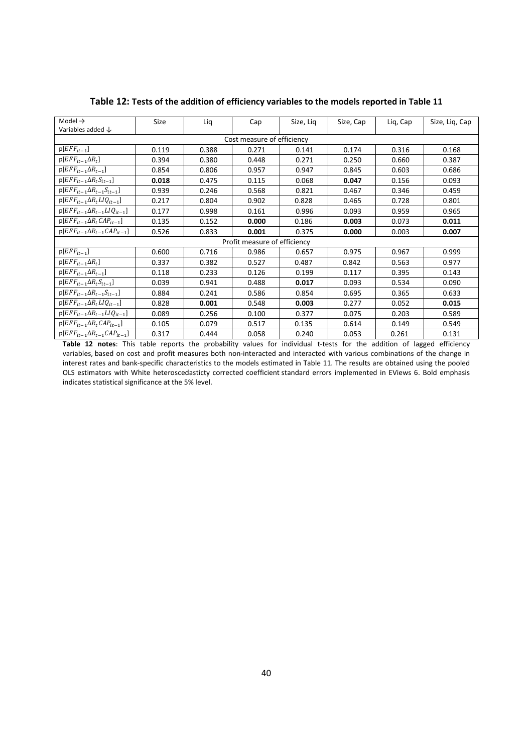| Model $\rightarrow$                         | Size  | Lig   | Cap                          | Size, Lig | Size, Cap | Lig, Cap | Size, Liq, Cap |
|---------------------------------------------|-------|-------|------------------------------|-----------|-----------|----------|----------------|
| Variables added $\downarrow$                |       |       |                              |           |           |          |                |
|                                             |       |       | Cost measure of efficiency   |           |           |          |                |
| $p[EFF_{it-1}]$                             | 0.119 | 0.388 | 0.271                        | 0.141     | 0.174     | 0.316    | 0.168          |
| $p[EFF_{it-1}\Delta R_t]$                   | 0.394 | 0.380 | 0.448                        | 0.271     | 0.250     | 0.660    | 0.387          |
| $p[EFF_{it-1} \Delta R_{t-1}]$              | 0.854 | 0.806 | 0.957                        | 0.947     | 0.845     | 0.603    | 0.686          |
| $p[EFF_{it-1} \Delta R_t S_{it-1}]$         | 0.018 | 0.475 | 0.115                        | 0.068     | 0.047     | 0.156    | 0.093          |
| $p[EFF_{it-1} \Delta R_{t-1} S_{it-1}]$     | 0.939 | 0.246 | 0.568                        | 0.821     | 0.467     | 0.346    | 0.459          |
| $p[EFF_{it-1}\Delta R_tLIQ_{it-1}]$         | 0.217 | 0.804 | 0.902                        | 0.828     | 0.465     | 0.728    | 0.801          |
| $p[EFF_{it-1} \Delta R_{t-1} L I Q_{it-1}]$ | 0.177 | 0.998 | 0.161                        | 0.996     | 0.093     | 0.959    | 0.965          |
| $p[EFF_{it-1}\Delta R_t CAP_{it-1}]$        | 0.135 | 0.152 | 0.000                        | 0.186     | 0.003     | 0.073    | 0.011          |
| $p[EFF_{it-1} \Delta R_{t-1} CAP_{it-1}]$   | 0.526 | 0.833 | 0.001                        | 0.375     | 0.000     | 0.003    | 0.007          |
|                                             |       |       | Profit measure of efficiency |           |           |          |                |
| $p[EFF_{it-1}]$                             | 0.600 | 0.716 | 0.986                        | 0.657     | 0.975     | 0.967    | 0.999          |
| $p[EFF_{it-1}\Delta R_t]$                   | 0.337 | 0.382 | 0.527                        | 0.487     | 0.842     | 0.563    | 0.977          |
| $p[EFF_{it-1} \Delta R_{t-1}]$              | 0.118 | 0.233 | 0.126                        | 0.199     | 0.117     | 0.395    | 0.143          |
| $p[EFF_{it-1} \Delta R_t S_{it-1}]$         | 0.039 | 0.941 | 0.488                        | 0.017     | 0.093     | 0.534    | 0.090          |
| $p[EFF_{it-1} \Delta R_{t-1} S_{it-1}]$     | 0.884 | 0.241 | 0.586                        | 0.854     | 0.695     | 0.365    | 0.633          |
| $p[EFF_{it-1}\Delta R_tLIQ_{it-1}]$         | 0.828 | 0.001 | 0.548                        | 0.003     | 0.277     | 0.052    | 0.015          |
| $p[EFF_{it-1}\Delta R_{t-1}LIQ_{it-1}]$     | 0.089 | 0.256 | 0.100                        | 0.377     | 0.075     | 0.203    | 0.589          |
| $p[EFF_{it-1}\Delta R_t CAP_{it-1}]$        | 0.105 | 0.079 | 0.517                        | 0.135     | 0.614     | 0.149    | 0.549          |
| $p[EFF_{it-1} \Delta R_{t-1} CAP_{it-1}]$   | 0.317 | 0.444 | 0.058                        | 0.240     | 0.053     | 0.261    | 0.131          |

Table 12: Tests of the addition of efficiency variables to the models reported in Table 11

Table 12 notes: This table reports the probability values for individual t-tests for the addition of lagged efficiency variables, based on cost and profit measures both non-interacted and interacted with various combinations of the change in interest rates and bank-specific characteristics to the models estimated in Table 11. The results are obtained using the pooled OLS estimators with White heteroscedasticty corrected coefficient standard errors implemented in EViews 6. Bold emphasis indicates statistical significance at the 5% level.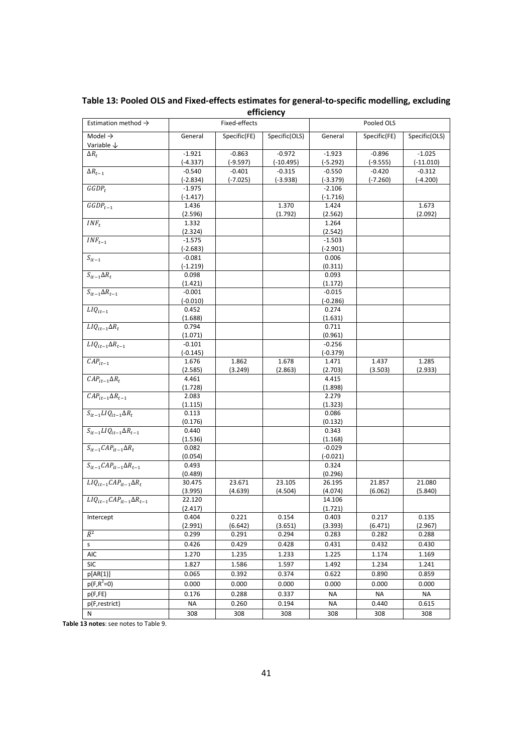| Estimation method $\rightarrow$      |                     | Fixed-effects     |               |                     | Pooled OLS        |                   |
|--------------------------------------|---------------------|-------------------|---------------|---------------------|-------------------|-------------------|
| Model $\rightarrow$                  | General             | Specific(FE)      | Specific(OLS) | General             | Specific(FE)      | Specific(OLS)     |
| Variable $\downarrow$                |                     |                   |               |                     |                   |                   |
| $\Delta R_{\rm r}$                   | $-1.921$            | $-0.863$          | $-0.972$      | $-1.923$            | $-0.896$          | $-1.025$          |
|                                      | $(-4.337)$          | (-9.597)          | $(-10.495)$   | (-5.292)            | $(-9.555)$        | (-11.010)         |
| $\Delta R_{t-1}$                     | $-0.540$            | $-0.401$          | $-0.315$      | $-0.550$            | $-0.420$          | $-0.312$          |
|                                      | $(-2.834)$          | $(-7.025)$        | $(-3.938)$    | (-3.379)            | $(-7.260)$        | $(-4.200)$        |
| $GGDP_t$                             | $-1.975$            |                   |               | $-2.106$            |                   |                   |
|                                      | (-1.417)            |                   |               | $(-1.716)$          |                   |                   |
| $GGDP_{t-1}$                         | 1.436               |                   | 1.370         | 1.424               |                   | 1.673             |
|                                      | (2.596)             |                   | (1.792)       | (2.562)             |                   | (2.092)           |
| $INF_t$                              | 1.332               |                   |               | 1.264               |                   |                   |
|                                      | (2.324)             |                   |               | (2.542)             |                   |                   |
| $INF_{t-1}$                          | $-1.575$            |                   |               | $-1.503$            |                   |                   |
|                                      | $(-2.683)$          |                   |               | $(-2.901)$          |                   |                   |
| $S_{it-1}$                           | $-0.081$            |                   |               | 0.006               |                   |                   |
|                                      | (-1.219)            |                   |               | (0.311)             |                   |                   |
| $S_{it-1} \Delta R_t$                | 0.098               |                   |               | 0.093               |                   |                   |
| $S_{it-1} \Delta R_{t-1}$            | (1.421)<br>$-0.001$ |                   |               | (1.172)<br>$-0.015$ |                   |                   |
|                                      | (-0.010)            |                   |               | $(-0.286)$          |                   |                   |
| $LIQ_{it-1}$                         | 0.452               |                   |               | 0.274               |                   |                   |
|                                      | (1.688)             |                   |               | (1.631)             |                   |                   |
| $LIQ_{it-1}\Delta R_t$               | 0.794               |                   |               | 0.711               |                   |                   |
|                                      | (1.071)             |                   |               | (0.961)             |                   |                   |
| $LIQ_{it-1}\Delta R_{t-1}$           | $-0.101$            |                   |               | $-0.256$            |                   |                   |
|                                      | (-0.145)            |                   |               | $(-0.379)$          |                   |                   |
| $CAP_{it-1}$                         | 1.676               | 1.862             | 1.678         | 1.471               | 1.437             | 1.285             |
|                                      | (2.585)             | (3.249)           | (2.863)       | (2.703)             | (3.503)           | (2.933)           |
| $CAP_{it-1}\Delta R_t$               | 4.461               |                   |               | 4.415               |                   |                   |
|                                      | (1.728)             |                   |               | (1.898)             |                   |                   |
| $CAP_{it-1}\Delta R_{t-1}$           | 2.083               |                   |               | 2.279               |                   |                   |
|                                      | (1.115)             |                   |               | (1.323)             |                   |                   |
| $S_{it-1}LIQ_{it-1}\Delta R_t$       | 0.113               |                   |               | 0.086               |                   |                   |
|                                      | (0.176)             |                   |               | (0.132)             |                   |                   |
| $S_{it-1}LIQ_{it-1}\Delta R_{t-1}$   | 0.440               |                   |               | 0.343               |                   |                   |
|                                      | (1.536)             |                   |               | (1.168)             |                   |                   |
| $S_{it-1}CAP_{it-1}\Delta R_t$       | 0.082               |                   |               | $-0.029$            |                   |                   |
| $S_{it-1}CAP_{it-1}\Delta R_{t-1}$   | (0.054)             |                   |               | $(-0.021)$          |                   |                   |
|                                      | 0.493               |                   |               | 0.324               |                   |                   |
| $LIQ_{it-1}CAP_{it-1}\Delta R_t$     | (0.489)             |                   | 23.105        | (0.296)             |                   |                   |
|                                      | 30.475<br>(3.995)   | 23.671<br>(4.639) | (4.504)       | 26.195<br>(4.074)   | 21.857<br>(6.062) | 21.080<br>(5.840) |
| $LIQ_{it-1}CAP_{it-1}\Delta R_{t-1}$ | 22.120              |                   |               | 14.106              |                   |                   |
|                                      | (2.417)             |                   |               | (1.721)             |                   |                   |
| Intercept                            | 0.404               | 0.221             | 0.154         | 0.403               | 0.217             | 0.135             |
|                                      | (2.991)             | (6.642)           | (3.651)       | (3.393)             | (6.471)           | (2.967)           |
| $\overline{R^2}$                     | 0.299               | 0.291             | 0.294         | 0.283               | 0.282             | 0.288             |
| s                                    | 0.426               | 0.429             | 0.428         | 0.431               | 0.432             | 0.430             |
| AIC                                  | 1.270               | 1.235             | 1.233         | 1.225               | 1.174             | 1.169             |
| <b>SIC</b>                           | 1.827               | 1.586             | 1.597         | 1.492               | 1.234             | 1.241             |
|                                      |                     |                   |               |                     |                   |                   |
| p[AR(1)]                             | 0.065               | 0.392             | 0.374         | 0.622               | 0.890             | 0.859             |
| $p(F,R^2=0)$                         | 0.000               | 0.000             | 0.000         | 0.000               | 0.000             | 0.000             |
| p(F, FE)                             | 0.176               | 0.288             | 0.337         | NA                  | NA                | NA                |
| p(F,restrict)                        | <b>NA</b>           | 0.260             | 0.194         | <b>NA</b>           | 0.440             | 0.615             |
| N                                    | 308                 | 308               | 308           | 308                 | 308               | 308               |

## Table 13: Pooled OLS and Fixed-effects estimates for general-to-specific modelling, excluding efficiency

Table 13 notes: see notes to Table 9.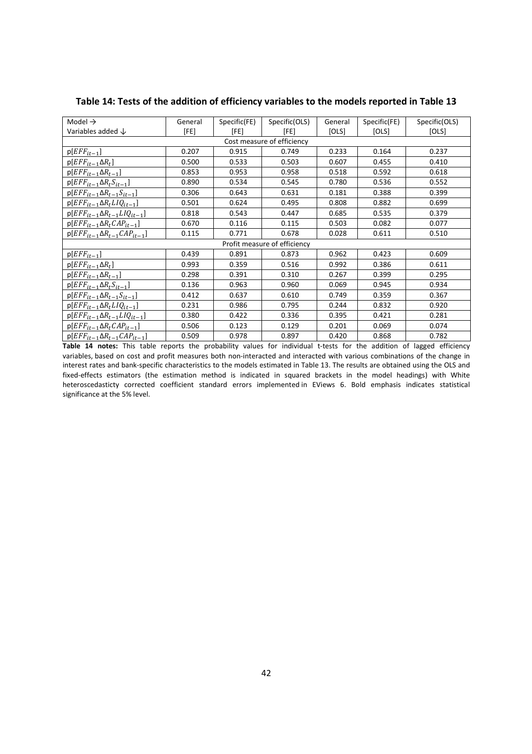| Model $\rightarrow$                       | General | Specific(FE) | Specific(OLS) | General | Specific(FE) | Specific(OLS) |
|-------------------------------------------|---------|--------------|---------------|---------|--------------|---------------|
| Variables added $\downarrow$              | [FE]    | [FE]         | [FE]          | [OLS]   | [OLS]        | [OLS]         |
| Cost measure of efficiency                |         |              |               |         |              |               |
| $p[EFF_{it-1}]$                           | 0.207   | 0.915        | 0.749         | 0.233   | 0.164        | 0.237         |
| $p[EFF_{it-1}\Delta R_t]$                 | 0.500   | 0.533        | 0.503         | 0.607   | 0.455        | 0.410         |
| $p[EFF_{it-1}\Delta R_{t-1}]$             | 0.853   | 0.953        | 0.958         | 0.518   | 0.592        | 0.618         |
| $p[EFF_{it-1}\Delta R_tS_{it-1}]$         | 0.890   | 0.534        | 0.545         | 0.780   | 0.536        | 0.552         |
| $p[EFF_{it-1}\Delta R_{t-1}S_{it-1}]$     | 0.306   | 0.643        | 0.631         | 0.181   | 0.388        | 0.399         |
| $p[EFF_{it-1}\Delta R_tLIQ_{it-1}]$       | 0.501   | 0.624        | 0.495         | 0.808   | 0.882        | 0.699         |
| $p[EFF_{it-1}\Delta R_{t-1}LIQ_{it-1}]$   | 0.818   | 0.543        | 0.447         | 0.685   | 0.535        | 0.379         |
| $p[EFF_{it-1}\Delta R_t CAP_{it-1}]$      | 0.670   | 0.116        | 0.115         | 0.503   | 0.082        | 0.077         |
| $p[EFF_{it-1} \Delta R_{t-1} CAP_{it-1}]$ | 0.115   | 0.771        | 0.678         | 0.028   | 0.611        | 0.510         |
| Profit measure of efficiency              |         |              |               |         |              |               |
| $p[EFF_{it-1}]$                           | 0.439   | 0.891        | 0.873         | 0.962   | 0.423        | 0.609         |
| $p[EFF_{it-1}\Delta R_t]$                 | 0.993   | 0.359        | 0.516         | 0.992   | 0.386        | 0.611         |
| $p[EFF_{it-1}\Delta R_{t-1}]$             | 0.298   | 0.391        | 0.310         | 0.267   | 0.399        | 0.295         |
| $p[EFF_{it-1}\Delta R_tS_{it-1}]$         | 0.136   | 0.963        | 0.960         | 0.069   | 0.945        | 0.934         |
| $p[EFF_{it-1} \Delta R_{t-1} S_{it-1}]$   | 0.412   | 0.637        | 0.610         | 0.749   | 0.359        | 0.367         |
| $p[EFF_{it-1}\Delta R_tLIQ_{it-1}]$       | 0.231   | 0.986        | 0.795         | 0.244   | 0.832        | 0.920         |
| $p[EFF_{it-1}\Delta R_{t-1}LIQ_{it-1}]$   | 0.380   | 0.422        | 0.336         | 0.395   | 0.421        | 0.281         |
| $p[EFF_{it-1}\Delta R_t CAP_{it-1}]$      | 0.506   | 0.123        | 0.129         | 0.201   | 0.069        | 0.074         |
| $p[EFF_{it-1}\Delta R_{t-1}CAP_{it-1}]$   | 0.509   | 0.978        | 0.897         | 0.420   | 0.868        | 0.782         |

Table 14: Tests of the addition of efficiency variables to the models reported in Table 13

Table 14 notes: This table reports the probability values for individual t-tests for the addition of lagged efficiency variables, based on cost and profit measures both non-interacted and interacted with various combinations of the change in interest rates and bank-specific characteristics to the models estimated in Table 13. The results are obtained using the OLS and fixed-effects estimators (the estimation method is indicated in squared brackets in the model headings) with White heteroscedasticty corrected coefficient standard errors implemented in EViews 6. Bold emphasis indicates statistical significance at the 5% level.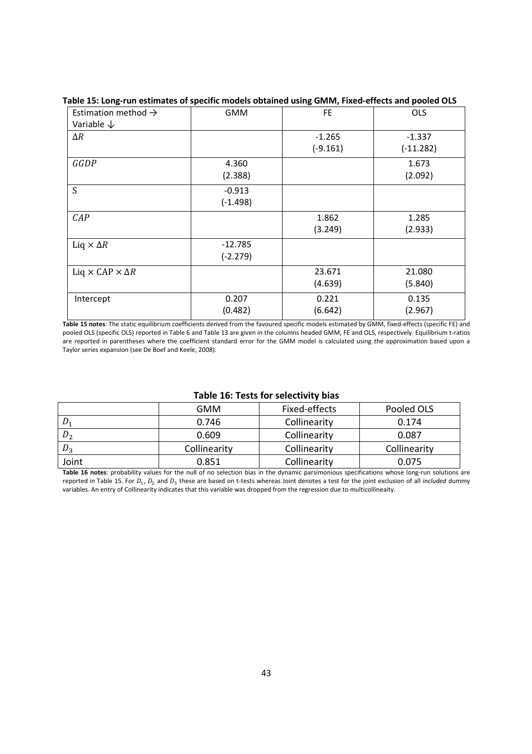| Estimation method $\rightarrow$      | <b>GMM</b> | FE.        | <b>OLS</b>  |
|--------------------------------------|------------|------------|-------------|
| Variable $\downarrow$                |            |            |             |
| $\Delta R$                           |            | $-1.265$   | $-1.337$    |
|                                      |            | $(-9.161)$ | $(-11.282)$ |
| GGDP                                 | 4.360      |            | 1.673       |
|                                      | (2.388)    |            | (2.092)     |
| S                                    | $-0.913$   |            |             |
|                                      | $(-1.498)$ |            |             |
| CAP                                  |            | 1.862      | 1.285       |
|                                      |            | (3.249)    | (2.933)     |
| Liq $\times \Delta R$                | $-12.785$  |            |             |
|                                      | $(-2.279)$ |            |             |
| Liq $\times$ CAP $\times$ $\Delta$ R |            | 23.671     | 21.080      |
|                                      |            | (4.639)    | (5.840)     |
| Intercept                            | 0.207      | 0.221      | 0.135       |
|                                      | (0.482)    | (6.642)    | (2.967)     |

## Table 15: Long-run estimates of specific models obtained using GMM, Fixed-effects and pooled OLS

Table 15 notes: The static equilibrium coefficients derived from the favoured specific models estimated by GMM, fixed-effects (specific FE) and pooled OLS (specific OLS) reported in Table 6 and Table 13 are given in the columns headed GMM, FE and OLS, respectively. Equilibrium t-ratios are reported in parentheses where the coefficient standard error for the GMM model is calculated using the approximation based upon a Taylor series expansion (see De Boef and Keele, 2008).

#### Table 16: Tests for selectivity bias

|                | <b>GMM</b>   | Fixed-effects | Pooled OLS   |
|----------------|--------------|---------------|--------------|
| $D_1$          | 0.746        | Collinearity  | 0.174        |
| $D_2$          | 0.609        | Collinearity  | 0.087        |
| D <sub>2</sub> | Collinearity | Collinearity  | Collinearity |
| Joint          | 0.851        | Collinearity  | 0.075        |

Table 16 notes: probability values for the null of no selection bias in the dynamic parsimonious specifications whose long-run solutions are reported in Table 15. For  $D_1$ ,  $D_2$  and  $D_3$  these are based on t-tests whereas Joint denotes a test for the joint exclusion of all *included* dummy variables. An entry of Collinearity indicates that this variable was dropped from the regression due to multicollineaity.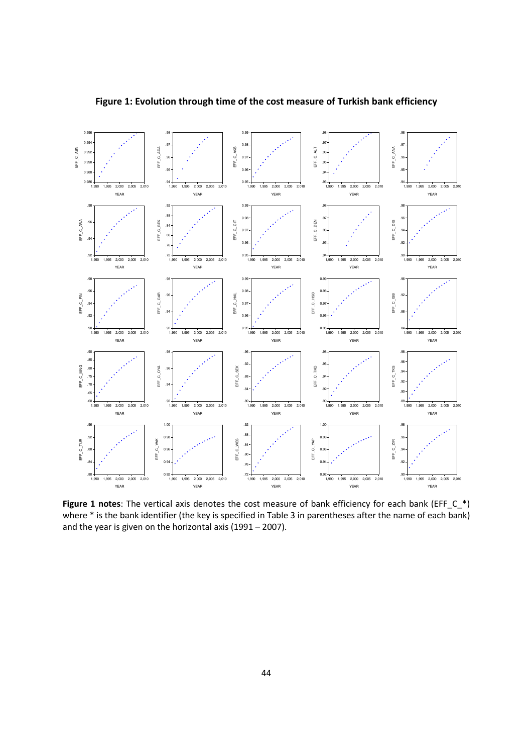

Figure 1: Evolution through time of the cost measure of Turkish bank efficiency

Figure 1 notes: The vertical axis denotes the cost measure of bank efficiency for each bank (EFF\_C\_\*) where \* is the bank identifier (the key is specified in Table 3 in parentheses after the name of each bank) and the year is given on the horizontal axis (1991 – 2007).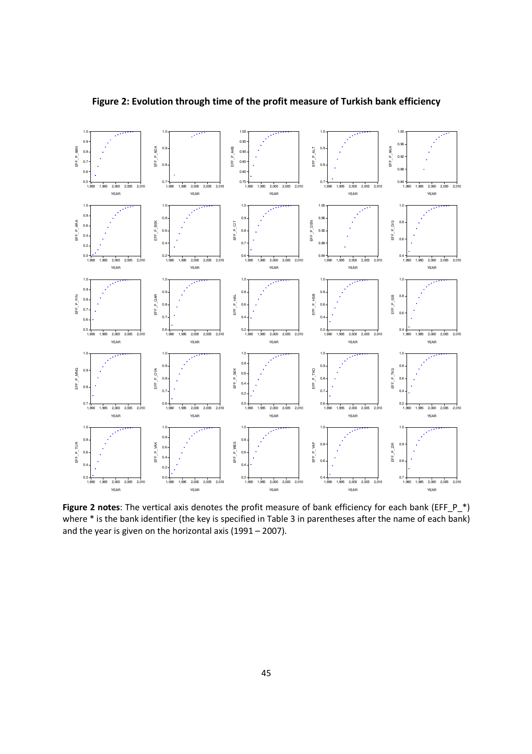

Figure 2: Evolution through time of the profit measure of Turkish bank efficiency

Figure 2 notes: The vertical axis denotes the profit measure of bank efficiency for each bank (EFF\_P\_\*) where \* is the bank identifier (the key is specified in Table 3 in parentheses after the name of each bank) and the year is given on the horizontal axis (1991 – 2007).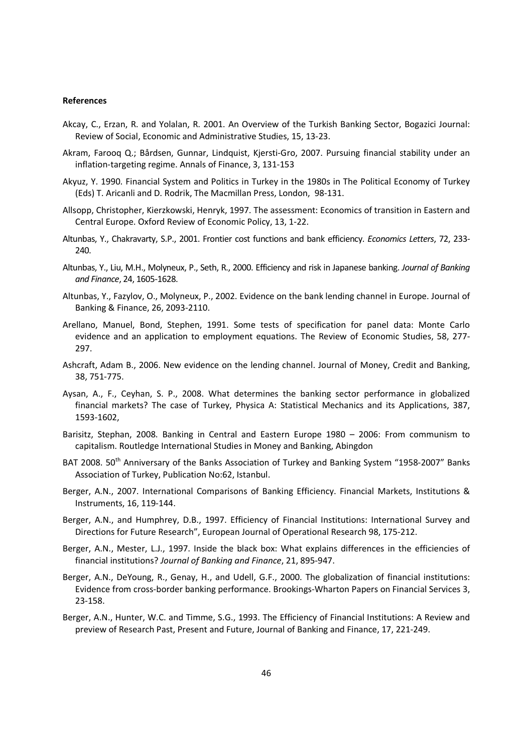#### References

- Akcay, C., Erzan, R. and Yolalan, R. 2001. An Overview of the Turkish Banking Sector, Bogazici Journal: Review of Social, Economic and Administrative Studies, 15, 13-23.
- Akram, Farooq Q.; Bårdsen, Gunnar, Lindquist, Kjersti-Gro, 2007. Pursuing financial stability under an inflation-targeting regime. Annals of Finance, 3, 131-153
- Akyuz, Y. 1990. Financial System and Politics in Turkey in the 1980s in The Political Economy of Turkey (Eds) T. Aricanli and D. Rodrik, The Macmillan Press, London, 98-131.
- Allsopp, Christopher, Kierzkowski, Henryk, 1997. The assessment: Economics of transition in Eastern and Central Europe. Oxford Review of Economic Policy, 13, 1-22.
- Altunbas, Y., Chakravarty, S.P., 2001. Frontier cost functions and bank efficiency. Economics Letters, 72, 233- 240.
- Altunbas, Y., Liu, M.H., Molyneux, P., Seth, R., 2000. Efficiency and risk in Japanese banking. Journal of Banking and Finance, 24, 1605-1628.
- Altunbas, Y., Fazylov, O., Molyneux, P., 2002. Evidence on the bank lending channel in Europe. Journal of Banking & Finance, 26, 2093-2110.
- Arellano, Manuel, Bond, Stephen, 1991. Some tests of specification for panel data: Monte Carlo evidence and an application to employment equations. The Review of Economic Studies, 58, 277- 297.
- Ashcraft, Adam B., 2006. New evidence on the lending channel. Journal of Money, Credit and Banking, 38, 751-775.
- Aysan, A., F., Ceyhan, S. P., 2008. What determines the banking sector performance in globalized financial markets? The case of Turkey, Physica A: Statistical Mechanics and its Applications, 387, 1593-1602,
- Barisitz, Stephan, 2008. Banking in Central and Eastern Europe 1980 2006: From communism to capitalism. Routledge International Studies in Money and Banking, Abingdon
- BAT 2008. 50<sup>th</sup> Anniversary of the Banks Association of Turkey and Banking System "1958-2007" Banks Association of Turkey, Publication No:62, Istanbul.
- Berger, A.N., 2007. International Comparisons of Banking Efficiency. Financial Markets, Institutions & Instruments, 16, 119-144.
- Berger, A.N., and Humphrey, D.B., 1997. Efficiency of Financial Institutions: International Survey and Directions for Future Research", European Journal of Operational Research 98, 175-212.
- Berger, A.N., Mester, L.J., 1997. Inside the black box: What explains differences in the efficiencies of financial institutions? Journal of Banking and Finance, 21, 895-947.
- Berger, A.N., DeYoung, R., Genay, H., and Udell, G.F., 2000. The globalization of financial institutions: Evidence from cross-border banking performance. Brookings-Wharton Papers on Financial Services 3, 23-158.
- Berger, A.N., Hunter, W.C. and Timme, S.G., 1993. The Efficiency of Financial Institutions: A Review and preview of Research Past, Present and Future, Journal of Banking and Finance, 17, 221-249.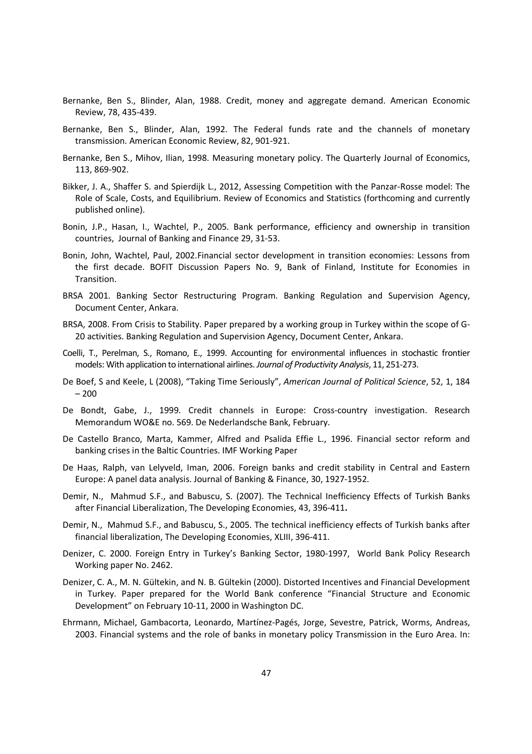- Bernanke, Ben S., Blinder, Alan, 1988. Credit, money and aggregate demand. American Economic Review, 78, 435-439.
- Bernanke, Ben S., Blinder, Alan, 1992. The Federal funds rate and the channels of monetary transmission. American Economic Review, 82, 901-921.
- Bernanke, Ben S., Mihov, Ilian, 1998. Measuring monetary policy. The Quarterly Journal of Economics, 113, 869-902.
- Bikker, J. A., Shaffer S. and Spierdijk L., 2012, Assessing Competition with the Panzar-Rosse model: The Role of Scale, Costs, and Equilibrium. Review of Economics and Statistics (forthcoming and currently published online).
- Bonin, J.P., Hasan, I., Wachtel, P., 2005. Bank performance, efficiency and ownership in transition countries, Journal of Banking and Finance 29, 31-53.
- Bonin, John, Wachtel, Paul, 2002.Financial sector development in transition economies: Lessons from the first decade. BOFIT Discussion Papers No. 9, Bank of Finland, Institute for Economies in Transition.
- BRSA 2001. Banking Sector Restructuring Program. Banking Regulation and Supervision Agency, Document Center, Ankara.
- BRSA, 2008. From Crisis to Stability. Paper prepared by a working group in Turkey within the scope of G-20 activities. Banking Regulation and Supervision Agency, Document Center, Ankara.
- Coelli, T., Perelman, S., Romano, E., 1999. Accounting for environmental influences in stochastic frontier models: With application to international airlines. Journal of Productivity Analysis, 11, 251-273.
- De Boef, S and Keele, L (2008), "Taking Time Seriously", American Journal of Political Science, 52, 1, 184 – 200
- De Bondt, Gabe, J., 1999. Credit channels in Europe: Cross-country investigation. Research Memorandum WO&E no. 569. De Nederlandsche Bank, February.
- De Castello Branco, Marta, Kammer, Alfred and Psalida Effie L., 1996. Financial sector reform and banking crises in the Baltic Countries. IMF Working Paper
- De Haas, Ralph, van Lelyveld, Iman, 2006. Foreign banks and credit stability in Central and Eastern Europe: A panel data analysis. Journal of Banking & Finance, 30, 1927-1952.
- Demir, N., Mahmud S.F., and Babuscu, S. (2007). The Technical Inefficiency Effects of Turkish Banks after Financial Liberalization, The Developing Economies, 43, 396-411.
- Demir, N., Mahmud S.F., and Babuscu, S., 2005. The technical inefficiency effects of Turkish banks after financial liberalization, The Developing Economies, XLIII, 396-411.
- Denizer, C. 2000. Foreign Entry in Turkey's Banking Sector, 1980-1997, World Bank Policy Research Working paper No. 2462.
- Denizer, C. A., M. N. Gültekin, and N. B. Gültekin (2000). Distorted Incentives and Financial Development in Turkey. Paper prepared for the World Bank conference "Financial Structure and Economic Development" on February 10-11, 2000 in Washington DC.
- Ehrmann, Michael, Gambacorta, Leonardo, Martínez-Pagés, Jorge, Sevestre, Patrick, Worms, Andreas, 2003. Financial systems and the role of banks in monetary policy Transmission in the Euro Area. In: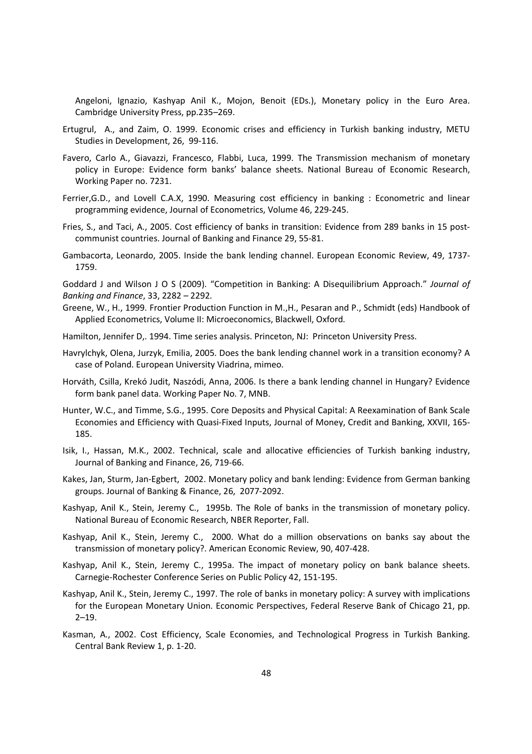Angeloni, Ignazio, Kashyap Anil K., Mojon, Benoit (EDs.), Monetary policy in the Euro Area. Cambridge University Press, pp.235–269.

- Ertugrul, A., and Zaim, O. 1999. Economic crises and efficiency in Turkish banking industry, METU Studies in Development, 26, 99-116.
- Favero, Carlo A., Giavazzi, Francesco, Flabbi, Luca, 1999. The Transmission mechanism of monetary policy in Europe: Evidence form banks' balance sheets. National Bureau of Economic Research, Working Paper no. 7231.
- Ferrier,G.D., and Lovell C.A.X, 1990. Measuring cost efficiency in banking : Econometric and linear programming evidence, Journal of Econometrics, Volume 46, 229-245.
- Fries, S., and Taci, A., 2005. Cost efficiency of banks in transition: Evidence from 289 banks in 15 postcommunist countries. Journal of Banking and Finance 29, 55-81.
- Gambacorta, Leonardo, 2005. Inside the bank lending channel. European Economic Review, 49, 1737- 1759.

Goddard J and Wilson J O S (2009). "Competition in Banking: A Disequilibrium Approach." Journal of Banking and Finance, 33, 2282 – 2292.

- Greene, W., H., 1999. Frontier Production Function in M.,H., Pesaran and P., Schmidt (eds) Handbook of Applied Econometrics, Volume II: Microeconomics, Blackwell, Oxford.
- Hamilton, Jennifer D,. 1994. Time series analysis. Princeton, NJ: Princeton University Press.
- Havrylchyk, Olena, Jurzyk, Emilia, 2005. Does the bank lending channel work in a transition economy? A case of Poland. European University Viadrina, mimeo.
- Horváth, Csilla, Krekó Judit, Naszódi, Anna, 2006. Is there a bank lending channel in Hungary? Evidence form bank panel data. Working Paper No. 7, MNB.
- Hunter, W.C., and Timme, S.G., 1995. Core Deposits and Physical Capital: A Reexamination of Bank Scale Economies and Efficiency with Quasi-Fixed Inputs, Journal of Money, Credit and Banking, XXVII, 165- 185.
- Isik, I., Hassan, M.K., 2002. Technical, scale and allocative efficiencies of Turkish banking industry, Journal of Banking and Finance, 26, 719-66.
- Kakes, Jan, Sturm, Jan-Egbert, 2002. Monetary policy and bank lending: Evidence from German banking groups. Journal of Banking & Finance, 26, 2077-2092.
- Kashyap, Anil K., Stein, Jeremy C., 1995b. The Role of banks in the transmission of monetary policy. National Bureau of Economic Research, NBER Reporter, Fall.
- Kashyap, Anil K., Stein, Jeremy C., 2000. What do a million observations on banks say about the transmission of monetary policy?. American Economic Review, 90, 407-428.
- Kashyap, Anil K., Stein, Jeremy C., 1995a. The impact of monetary policy on bank balance sheets. Carnegie-Rochester Conference Series on Public Policy 42, 151-195.
- Kashyap, Anil K., Stein, Jeremy C., 1997. The role of banks in monetary policy: A survey with implications for the European Monetary Union. Economic Perspectives, Federal Reserve Bank of Chicago 21, pp. 2–19.
- Kasman, A., 2002. Cost Efficiency, Scale Economies, and Technological Progress in Turkish Banking. Central Bank Review 1, p. 1-20.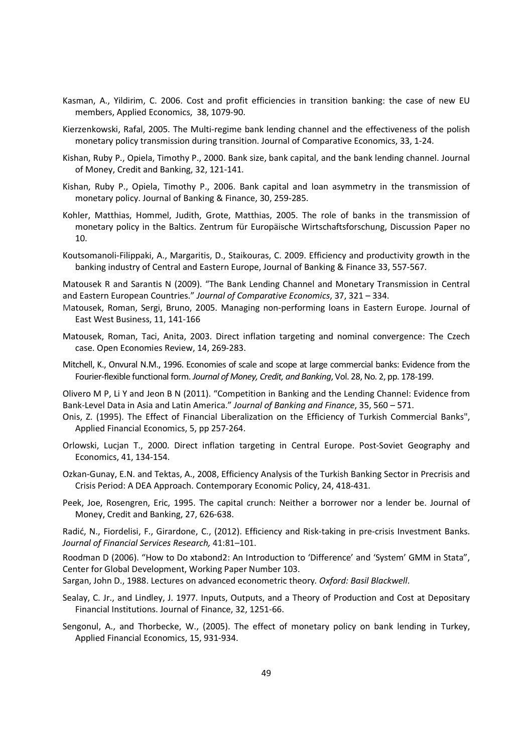- Kasman, A., Yildirim, C. 2006. Cost and profit efficiencies in transition banking: the case of new EU members, Applied Economics, 38, 1079-90.
- Kierzenkowski, Rafal, 2005. The Multi-regime bank lending channel and the effectiveness of the polish monetary policy transmission during transition. Journal of Comparative Economics, 33, 1-24.
- Kishan, Ruby P., Opiela, Timothy P., 2000. Bank size, bank capital, and the bank lending channel. Journal of Money, Credit and Banking, 32, 121-141.
- Kishan, Ruby P., Opiela, Timothy P., 2006. Bank capital and loan asymmetry in the transmission of monetary policy. Journal of Banking & Finance, 30, 259-285.
- Kohler, Matthias, Hommel, Judith, Grote, Matthias, 2005. The role of banks in the transmission of monetary policy in the Baltics. Zentrum für Europäische Wirtschaftsforschung, Discussion Paper no 10.
- Koutsomanoli-Filippaki, A., Margaritis, D., Staikouras, C. 2009. Efficiency and productivity growth in the banking industry of Central and Eastern Europe, Journal of Banking & Finance 33, 557-567.

Matousek R and Sarantis N (2009). "The Bank Lending Channel and Monetary Transmission in Central and Eastern European Countries." Journal of Comparative Economics, 37, 321 – 334.

- Matousek, Roman, Sergi, Bruno, 2005. Managing non-performing loans in Eastern Europe. Journal of East West Business, 11, 141-166
- Matousek, Roman, Taci, Anita, 2003. Direct inflation targeting and nominal convergence: The Czech case. Open Economies Review, 14, 269-283.
- Mitchell, K., Onvural N.M., 1996. Economies of scale and scope at large commercial banks: Evidence from the Fourier-flexible functional form. Journal of Money, Credit, and Banking, Vol. 28, No. 2, pp. 178-199.

Olivero M P, Li Y and Jeon B N (2011). "Competition in Banking and the Lending Channel: Evidence from Bank-Level Data in Asia and Latin America." Journal of Banking and Finance, 35, 560 – 571.

- Onis, Z. (1995). The Effect of Financial Liberalization on the Efficiency of Turkish Commercial Banks", Applied Financial Economics, 5, pp 257-264.
- Orlowski, Lucjan T., 2000. Direct inflation targeting in Central Europe. Post-Soviet Geography and Economics, 41, 134-154.
- Ozkan-Gunay, E.N. and Tektas, A., 2008, Efficiency Analysis of the Turkish Banking Sector in Precrisis and Crisis Period: A DEA Approach. Contemporary Economic Policy, 24, 418-431.
- Peek, Joe, Rosengren, Eric, 1995. The capital crunch: Neither a borrower nor a lender be. Journal of Money, Credit and Banking, 27, 626-638.

Radić, N., Fiordelisi, F., Girardone, C., (2012). Efficiency and Risk-taking in pre-crisis Investment Banks. Journal of Financial Services Research, 41:81–101.

Roodman D (2006). "How to Do xtabond2: An Introduction to 'Difference' and 'System' GMM in Stata", Center for Global Development, Working Paper Number 103.

Sargan, John D., 1988. Lectures on advanced econometric theory. Oxford: Basil Blackwell.

- Sealay, C. Jr., and Lindley, J. 1977. Inputs, Outputs, and a Theory of Production and Cost at Depositary Financial Institutions. Journal of Finance, 32, 1251-66.
- Sengonul, A., and Thorbecke, W., (2005). The effect of monetary policy on bank lending in Turkey, Applied Financial Economics, 15, 931-934.